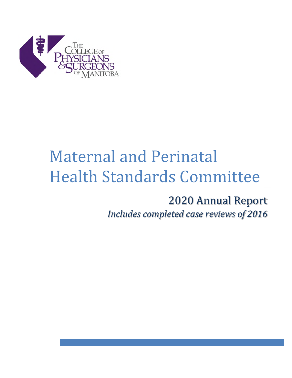

# Maternal and Perinatal Health Standards Committee

2020 Annual Report *Includes completed case reviews of 2016*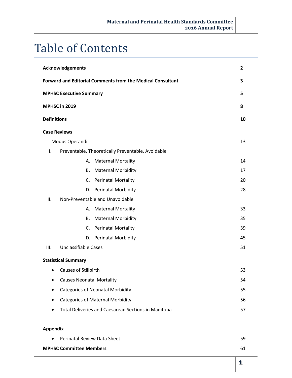## Table of Contents

| Acknowledgements                                                        | $\overline{2}$ |
|-------------------------------------------------------------------------|----------------|
| <b>Forward and Editorial Comments from the Medical Consultant</b>       | 3              |
| <b>MPHSC Executive Summary</b>                                          | 5              |
| MPHSC in 2019                                                           | 8              |
| <b>Definitions</b>                                                      | 10             |
| <b>Case Reviews</b>                                                     |                |
| Modus Operandi                                                          | 13             |
| Preventable, Theoretically Preventable, Avoidable<br>Ι.                 |                |
| A. Maternal Mortality                                                   | 14             |
| <b>Maternal Morbidity</b><br><b>B.</b>                                  | 17             |
| C. Perinatal Mortality                                                  | 20             |
| D. Perinatal Morbidity                                                  | 28             |
| Non-Preventable and Unavoidable<br>ΙΙ.                                  |                |
| A. Maternal Mortality                                                   | 33             |
| <b>Maternal Morbidity</b><br>В.                                         | 35             |
| C. Perinatal Mortality                                                  | 39             |
| D. Perinatal Morbidity                                                  | 45             |
| <b>Unclassifiable Cases</b><br>III.                                     | 51             |
| <b>Statistical Summary</b>                                              |                |
| <b>Causes of Stillbirth</b>                                             | 53             |
| <b>Causes Neonatal Mortality</b>                                        | 54             |
| <b>Categories of Neonatal Morbidity</b>                                 | 55             |
| <b>Categories of Maternal Morbidity</b><br>$\bullet$                    | 56             |
| <b>Total Deliveries and Caesarean Sections in Manitoba</b><br>$\bullet$ | 57             |
|                                                                         |                |
| <b>Appendix</b>                                                         |                |
| Perinatal Review Data Sheet                                             | 59             |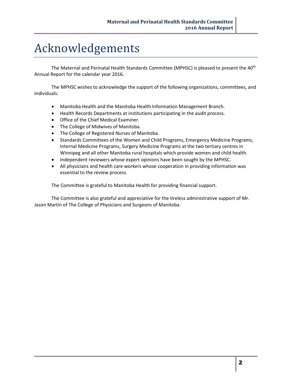## Acknowledgements

The Maternal and Perinatal Health Standards Committee (MPHSC) is pleased to present the 40<sup>th</sup> Annual Report for the calendar year 2016.

The MPHSC wishes to acknowledge the support of the following organizations, committees, and individuals:

- Manitoba Health and the Manitoba Health Information Management Branch.
- Health Records Departments at institutions participating in the audit process.
- Office of the Chief Medical Examiner.
- The College of Midwives of Manitoba.
- The College of Registered Nurses of Manitoba.
- Standards Committees of the Women and Child Programs, Emergency Medicine Programs, Internal Medicine Programs, Surgery Medicine Programs at the two tertiary centres in Winnipeg and all other Manitoba rural hospitals which provide women and child health.
- Independent reviewers whose expert opinions have been sought by the MPHSC.
- All physicians and health care workers whose cooperation in providing information was essential to the review process.

The Committee is grateful to Manitoba Health for providing financial support.

The Committee is also grateful and appreciative for the tireless administrative support of Mr. Jason Martin of The College of Physicians and Surgeons of Manitoba.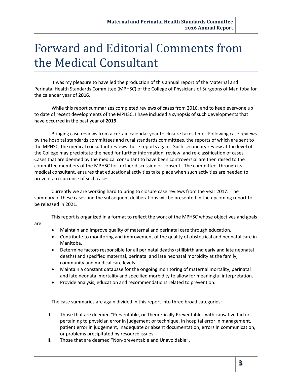## Forward and Editorial Comments from the Medical Consultant

It was my pleasure to have led the production of this annual report of the Maternal and Perinatal Health Standards Committee (MPHSC) of the College of Physicians of Surgeons of Manitoba for the calendar year of **2016**.

While this report summarizes completed reviews of cases from 2016, and to keep everyone up to date of recent developments of the MPHSC, I have included a synopsis of such developments that have occurred in the past year of **2019**.

Bringing case reviews from a certain calendar year to closure takes time. Following case reviews by the hospital standards committees and rural standards committees, the reports of which are sent to the MPHSC, the medical consultant reviews these reports again. Such secondary review at the level of the College may precipitate the need for further information, review, and re-classification of cases. Cases that are deemed by the medical consultant to have been controversial are then raised to the committee members of the MPHSC for further discussion or consent. The committee, through its medical consultant, ensures that educational activities take place when such activities are needed to prevent a recurrence of such cases.

Currently we are working hard to bring to closure case reviews from the year 2017. The summary of these cases and the subsequent deliberations will be presented in the upcoming report to be released in 2021.

This report is organized in a format to reflect the work of the MPHSC whose objectives and goals

- Maintain and improve quality of maternal and perinatal care through education.
- Contribute to monitoring and improvement of the quality of obstetrical and neonatal care in Manitoba.
- Determine factors responsible for all perinatal deaths (stillbirth and early and late neonatal deaths) and specified maternal, perinatal and late neonatal morbidity at the family, community and medical care levels.
- Maintain a constant database for the ongoing monitoring of maternal mortality, perinatal and late neonatal mortality and specified morbidity to allow for meaningful interpretation.
- Provide analysis, education and recommendations related to prevention.

The case summaries are again divided in this report into three broad categories:

- I. Those that are deemed "Preventable, or Theoretically Preventable" with causative factors pertaining to physician error in judgement or technique, in hospital error in management, patient error in judgement, inadequate or absent documentation, errors in communication, or problems precipitated by resource issues.
- II. Those that are deemed "Non-preventable and Unavoidable".

are: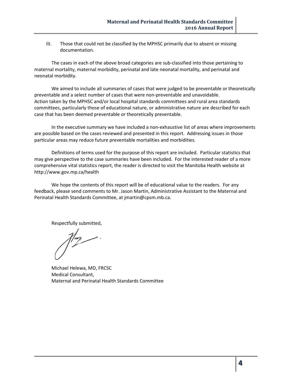III. Those that could not be classified by the MPHSC primarily due to absent or missing documentation.

The cases in each of the above broad categories are sub-classified into those pertaining to maternal mortality, maternal morbidity, perinatal and late neonatal mortality, and perinatal and neonatal morbidity.

We aimed to include all summaries of cases that were judged to be preventable or theoretically preventable and a select number of cases that were non-preventable and unavoidable. Action taken by the MPHSC and/or local hospital standards committees and rural area standards committees, particularly those of educational nature, or administrative nature are described for each case that has been deemed preventable or theoretically preventable.

In the executive summary we have included a non-exhaustive list of areas where improvements are possible based on the cases reviewed and presented in this report. Addressing issues in those particular areas may reduce future preventable mortalities and morbidities.

Definitions of terms used for the purpose of this report are included. Particular statistics that may give perspective to the case summaries have been included. For the interested reader of a more comprehensive vital statistics report, the reader is directed to visit the Manitoba Health website at <http://www.gov.mp.ca/health>

We hope the contents of this report will be of educational value to the readers. For any feedback, please send comments to Mr. Jason Martin, Administrative Assistant to the Maternal and Perinatal Health Standards Committee, at [jmartin@cpsm.mb.ca](mailto:jmartin@cpsm.mb.ca).

Respectfully submitted,

Michael Helewa, MD, FRCSC Medical Consultant, Maternal and Perinatal Health Standards Committee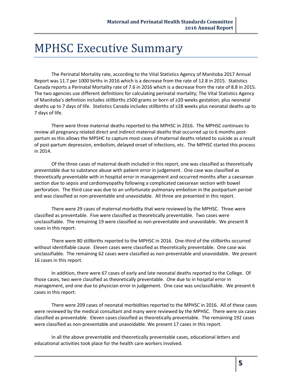## MPHSC Executive Summary

The Perinatal Mortality rate, according to the Vital Statistics Agency of Manitoba 2017 Annual Report was 11.7 per 1000 births in 2016 which is a decrease from the rate of 12.8 in 2015. Statistics Canada reports a Perinatal Mortality rate of 7.6 in 2016 which is a decrease from the rate of 8.8 in 2015. The two agencies use different definitions for calculating perinatal mortality; The Vital Statistics Agency of Manitoba's definition includes stillbirths ≥500 grams or born of ≥20 weeks gestation, plus neonatal deaths up to 7 days of life. Statistics Canada includes stillbirths of ≥28 weeks plus neonatal deaths up to 7 days of life.

There were three maternal deaths reported to the MPHSC in 2016. The MPHSC continues to review all pregnancy related direct and indirect maternal deaths that occurred up to 6 months postpartum as this allows the MPSHC to capture most cases of maternal deaths related to suicide as a result of post-partum depression, embolism, delayed onset of infections, etc. The MPHSC started this process in 2014.

Of the three cases of maternal death included in this report, one was classified as theoretically preventable due to substance abuse with patient error in judgement. One case was classified as theoretically preventable with in hospital error in management and occurred months after a caesarean section due to sepsis and cardiomyopathy following a complicated caesarean section with bowel perforation. The third case was due to an unfortunate pulmonary embolism in the postpartum period and was classified as non-preventable and unavoidable. All three are presented in this report.

There were 29 cases of maternal morbidity that were reviewed by the MPHSC. Three were classified as preventable. Five were classified as theoretically preventable. Two cases were unclassifiable. The remaining 19 were classified as non-preventable and unavoidable. We present 8 cases in this report.

There were 80 stillbirths reported to the MPHSC in 2016. One-third of the stillbirths occurred without identifiable cause. Eleven cases were classified as theoretically preventable. One case was unclassifiable. The remaining 62 cases were classified as non-preventable and unavoidable. We present 16 cases in this report.

In addition, there were 67 cases of early and late neonatal deaths reported to the College. Of those cases, two were classified as theoretically preventable. One due to in hospital error in management, and one due to physician error in judgement. One case was unclassifiable. We present 6 cases in this report.

There were 209 cases of neonatal morbidities reported to the MPHSC in 2016. All of these cases were reviewed by the medical consultant and many were reviewed by the MPHSC. There were six cases classified as preventable. Eleven cases classified as theoretically preventable. The remaining 192 cases were classified as non-preventable and unavoidable. We present 17 cases in this report.

In all the above preventable and theoretically preventable cases, educational letters and educational activities took place for the health care workers involved.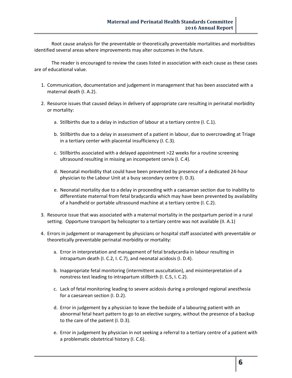Root cause analysis for the preventable or theoretically preventable mortalities and morbidities identified several areas where improvements may alter outcomes in the future.

The reader is encouraged to review the cases listed in association with each cause as these cases are of educational value.

- 1. Communication, documentation and judgement in management that has been associated with a maternal death (I. A.2).
- 2. Resource issues that caused delays in delivery of appropriate care resulting in perinatal morbidity or mortality:
	- a. Stillbirths due to a delay in induction of labour at a tertiary centre (I. C.1).
	- b. Stillbirths due to a delay in assessment of a patient in labour, due to overcrowding at Triage in a tertiary center with placental insufficiency (I. C.3).
	- c. Stillbirths associated with a delayed appointment >22 weeks for a routine screening ultrasound resulting in missing an incompetent cervix (I. C.4).
	- d. Neonatal morbidity that could have been prevented by presence of a dedicated 24-hour physician to the Labour Unit at a busy secondary centre (I. D.3).
	- e. Neonatal mortality due to a delay in proceeding with a caesarean section due to inability to differentiate maternal from fetal bradycardia which may have been prevented by availability of a handheld or portable ultrasound machine at a tertiary centre (I. C.2).
- 3. Resource issue that was associated with a maternal mortality in the postpartum period in a rural setting. Opportune transport by helicopter to a tertiary centre was not available (II. A.1)
- 4. Errors in judgement or management by physicians or hospital staff associated with preventable or theoretically preventable perinatal morbidity or mortality:
	- a. Error in interpretation and management of fetal bradycardia in labour resulting in intrapartum death (I. C.2, I. C.7), and neonatal acidosis (I. D.4).
	- b. Inappropriate fetal monitoring (intermittent auscultation), and misinterpretation of a nonstress test leading to intrapartum stillbirth (I. C.5, I. C.2).
	- c. Lack of fetal monitoring leading to severe acidosis during a prolonged regional anesthesia for a caesarean section (I. D.2).
	- d. Error in judgement by a physician to leave the bedside of a labouring patient with an abnormal fetal heart pattern to go to an elective surgery, without the presence of a backup to the care of the patient (I. D.3).
	- e. Error in judgement by physician in not seeking a referral to a tertiary centre of a patient with a problematic obstetrical history (I. C.6).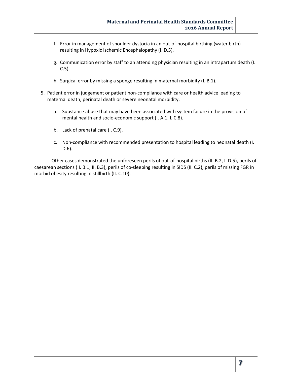- f. Error in management of shoulder dystocia in an out-of-hospital birthing (water birth) resulting in Hypoxic Ischemic Encephalopathy (I. D.5).
- g. Communication error by staff to an attending physician resulting in an intrapartum death (I. C.5).
- h. Surgical error by missing a sponge resulting in maternal morbidity (I. B.1).
- 5. Patient error in judgement or patient non-compliance with care or health advice leading to maternal death, perinatal death or severe neonatal morbidity.
	- a. Substance abuse that may have been associated with system failure in the provision of mental health and socio-economic support (I. A.1, I. C.8).
	- b. Lack of prenatal care (I. C.9).
	- c. Non-compliance with recommended presentation to hospital leading to neonatal death (I. D.6).

Other cases demonstrated the unforeseen perils of out-of-hospital births (II. B.2, I. D.5), perils of caesarean sections (II. B.1, II. B.3), perils of co-sleeping resulting in SIDS (II. C.2), perils of missing FGR in morbid obesity resulting in stillbirth (II. C.10).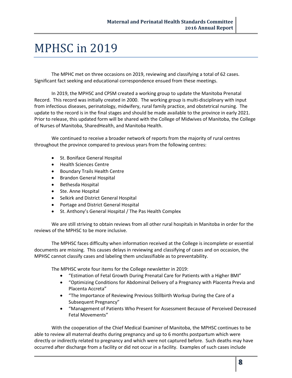## MPHSC in 2019

The MPHC met on three occasions on 2019, reviewing and classifying a total of 62 cases. Significant fact seeking and educational correspondence ensued from these meetings.

In 2019, the MPHSC and CPSM created a working group to update the Manitoba Prenatal Record. This record was initially created in 2000. The working group is multi-disciplinary with input from infectious diseases, perinatology, midwifery, rural family practice, and obstetrical nursing. The update to the record is in the final stages and should be made available to the province in early 2021. Prior to release, this updated form will be shared with the College of Midwives of Manitoba, the College of Nurses of Manitoba, SharedHealth, and Manitoba Health.

We continued to receive a broader network of reports from the majority of rural centres throughout the province compared to previous years from the following centres:

- St. Boniface General Hospital
- Health Sciences Centre
- **•** Boundary Trails Health Centre
- **•** Brandon General Hospital
- Bethesda Hospital
- Ste. Anne Hospital
- Selkirk and District General Hospital
- Portage and District General Hospital
- St. Anthony's General Hospital / The Pas Health Complex

We are still striving to obtain reviews from all other rural hospitals in Manitoba in order for the reviews of the MPHSC to be more inclusive.

The MPHSC faces difficulty when information received at the College is incomplete or essential documents are missing. This causes delays in reviewing and classifying of cases and on occasion, the MPHSC cannot classify cases and labeling them unclassifiable as to preventability.

The MPHSC wrote four items for the College newsletter in 2019:

- "Estimation of Fetal Growth During Prenatal Care for Patients with a Higher BMI"
- "Optimizing Conditions for Abdominal Delivery of a Pregnancy with Placenta Previa and Placenta Accreta"
- "The Importance of Reviewing Previous Stillbirth Workup During the Care of a Subsequent Pregnancy"
- "Management of Patients Who Present for Assessment Because of Perceived Decreased Fetal Movements"

With the cooperation of the Chief Medical Examiner of Manitoba, the MPHSC continues to be able to review all maternal deaths during pregnancy and up to 6 months postpartum which were directly or indirectly related to pregnancy and which were not captured before. Such deaths may have occurred after discharge from a facility or did not occur in a facility. Examples of such cases include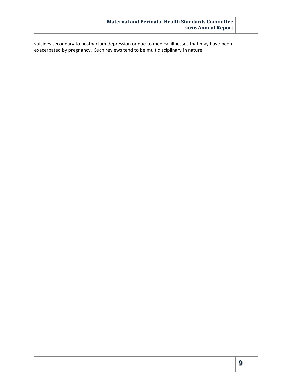suicides secondary to postpartum depression or due to medical illnesses that may have been exacerbated by pregnancy. Such reviews tend to be multidisciplinary in nature.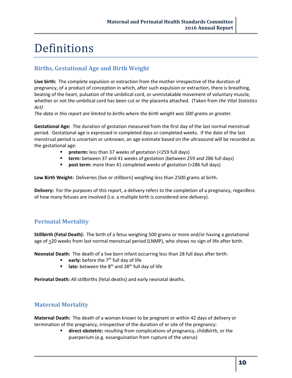## Definitions

## **Births, Gestational Age and Birth Weight**

**Live birth:** The complete expulsion or extraction from the mother irrespective of the duration of pregnancy, of a product of conception in which, after such expulsion or extraction, there is breathing, beating of the heart, pulsation of the umbilical cord, or unmistakable movement of voluntary muscle, whether or not the umbilical cord has been cut or the placenta attached. (Taken from *the Vital Statistics Act)*

*The data in this report are limited to births where the birth weight was 500 grams or greater.* 

**Gestational Age:** The duration of gestation measured from the first day of the last normal menstrual period. Gestational age is expressed in completed days or completed weeks. If the date of the last menstrual period is uncertain or unknown, an age estimate based on the ultrasound will be recorded as the gestational age:

- **Preterm:** less than 37 weeks of gestation (<259 full days)
- **term:** between 37 and 41 weeks of gestation (between 259 and 286 full days)
- **post term:** more than 41 completed weeks of gestation (>286 full days)

**Low Birth Weight:** Deliveries (live or stillborn) weighing less than 2500 grams at birth.

**Delivery:** For the purposes of this report, a delivery refers to the completion of a pregnancy, regardless of how many fetuses are involved (i.e. a multiple birth is considered one delivery).

## **Perinatal Mortality**

**Stillbirth (Fetal Death):** The birth of a fetus weighing 500 grams or more and/or having a gestational age of  $\geq$ 20 weeks from last normal menstrual period (LNMP), who shows no sign of life after birth.

**Neonatal Death:** The death of a live born infant occurring less than 28 full days after birth:

- **early:** before the 7<sup>th</sup> full day of life
- **late:** between the 8<sup>th</sup> and 28<sup>th</sup> full day of life

**Perinatal Death:** All stillbirths (fetal deaths) and early neonatal deaths.

## **Maternal Mortality**

**Maternal Death:** The death of a woman known to be pregnant or within 42 days of delivery or termination of the pregnancy, irrespective of the duration of or site of the pregnancy:

> **direct obstetric:** resulting from complications of pregnancy, childbirth, or the puerperium (e.g. exsanguination from rupture of the uterus)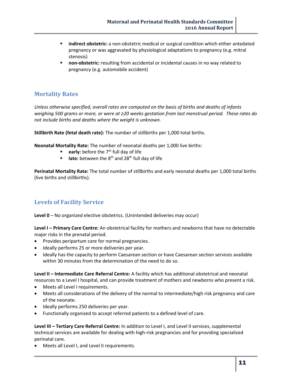- **indirect obstetric:** a non-obstetric medical or surgical condition which either antedated pregnancy or was aggravated by physiological adaptations to pregnancy (e.g. mitral stenosis)
- **non-obstetric:** resulting from accidental or incidental causes in no way related to pregnancy (e.g. automobile accident)

#### **Mortality Rates**

*Unless otherwise specified, overall rates are computed on the basis of births and deaths of infants*  weighing 500 grams or more, or were at ≥20 weeks gestation from last menstrual period. These rates do *not include births and deaths where the weight is unknown.*

**Stillbirth Rate (fetal death rate):** The number of stillbirths per 1,000 total births.

**Neonatal Mortality Rate:** The number of neonatal deaths per 1,000 live births:

- **early:** before the 7<sup>th</sup> full day of life
- **late:** between the 8<sup>th</sup> and 28<sup>th</sup> full day of life

**Perinatal Mortality Rate:** The total number of stillbirths and early neonatal deaths per 1,000 total births (live births and stillbirths).

## **Levels of Facility Service**

**Level 0** – No organized elective obstetrics. (Unintended deliveries may occur)

**Level I – Primary Care Centre:** An obstetrical facility for mothers and newborns that have no detectable major risks in the prenatal period.

- Provides peripartum care for normal pregnancies.
- Ideally performs 25 or more deliveries per year.
- Ideally has the capacity to perform Caesarean section or have Caesarean section services available within 30 minutes from the determination of the need to do so.

**Level II – Intermediate Care Referral Centre:** A facility which has additional obstetrical and neonatal resources to a Level I hospital, and can provide treatment of mothers and newborns who present a risk.

- Meets all Level I requirements.
- Meets all considerations of the delivery of the normal to intermediate/high risk pregnancy and care of the neonate.
- $\bullet$  Ideally performs 250 deliveries per year.
- Functionally organized to accept referred patients to a defined level of care.

**Level III – Tertiary Care Referral Centre:** In addition to Level I, and Level II services, supplemental technical services are available for dealing with high-risk pregnancies and for providing specialized perinatal care.

Meets all Level I, and Level II requirements.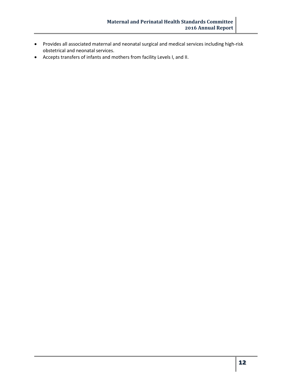- Provides all associated maternal and neonatal surgical and medical services including high-risk obstetrical and neonatal services.
- Accepts transfers of infants and mothers from facility Levels I, and II.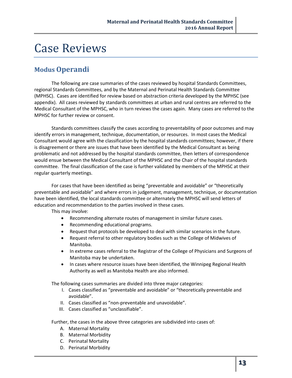## Case Reviews

## **Modus Operandi**

The following are case summaries of the cases reviewed by hospital Standards Committees, regional Standards Committees, and by the Maternal and Perinatal Health Standards Committee (MPHSC). Cases are identified for review based on abstraction criteria developed by the MPHSC (see appendix). All cases reviewed by standards committees at urban and rural centres are referred to the Medical Consultant of the MPHSC, who in turn reviews the cases again. Many cases are referred to the MPHSC for further review or consent.

Standards committees classify the cases according to preventability of poor outcomes and may identify errors in management, technique, documentation, or resources. In most cases the Medical Consultant would agree with the classification by the hospital standards committees; however, if there is disagreement or there are issues that have been identified by the Medical Consultant as being problematic and not addressed by the hospital standards committee, then letters of correspondence would ensue between the Medical Consultant of the MPHSC and the Chair of the hospital standards committee. The final classification of the case is further validated by members of the MPHSC at their regular quarterly meetings.

For cases that have been identified as being "preventable and avoidable" or "theoretically preventable and avoidable" and where errors in judgement, management, technique, or documentation have been identified, the local standards committee or alternately the MPHSC will send letters of education and recommendation to the parties involved in these cases.

This may involve:

- Recommending alternate routes of management in similar future cases.
- Recommending educational programs.
- Request that protocols be developed to deal with similar scenarios in the future.
- Request referral to other regulatory bodies such as the College of Midwives of Manitoba.
- In extreme cases referral to the Registrar of the College of Physicians and Surgeons of Manitoba may be undertaken.
- In cases where resource issues have been identified, the Winnipeg Regional Health Authority as well as Manitoba Health are also informed.

The following cases summaries are divided into three major categories:

- I. Cases classified as "preventable and avoidable" or "theoretically preventable and avoidable".
- II. Cases classified as "non-preventable and unavoidable".
- III. Cases classified as "unclassifiable".

Further, the cases in the above three categories are subdivided into cases of:

- A. Maternal Mortality
- B. Maternal Morbidity
- C. Perinatal Mortality
- D. Perinatal Morbidity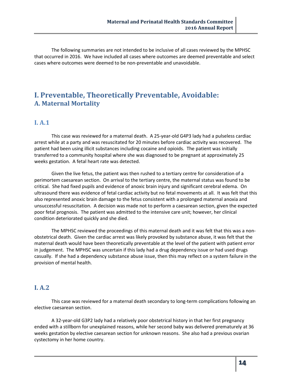The following summaries are not intended to be inclusive of all cases reviewed by the MPHSC that occurred in 2016. We have included all cases where outcomes are deemed preventable and select cases where outcomes were deemed to be non-preventable and unavoidable.

## **I. Preventable, Theoretically Preventable, Avoidable: A. Maternal Mortality**

### **I. A.1**

This case was reviewed for a maternal death. A 25-year-old G4P3 lady had a pulseless cardiac arrest while at a party and was resuscitated for 20 minutes before cardiac activity was recovered. The patient had been using illicit substances including cocaine and opioids. The patient was initially transferred to a community hospital where she was diagnosed to be pregnant at approximately 25 weeks gestation. A fetal heart rate was detected.

Given the live fetus, the patient was then rushed to a tertiary centre for consideration of a perimortem caesarean section. On arrival to the tertiary centre, the maternal status was found to be critical. She had fixed pupils and evidence of anoxic brain injury and significant cerebral edema. On ultrasound there was evidence of fetal cardiac activity but no fetal movements at all. It was felt that this also represented anoxic brain damage to the fetus consistent with a prolonged maternal anoxia and unsuccessful resuscitation. A decision was made not to perform a caesarean section, given the expected poor fetal prognosis. The patient was admitted to the intensive care unit; however, her clinical condition deteriorated quickly and she died.

The MPHSC reviewed the proceedings of this maternal death and it was felt that this was a nonobstetrical death. Given the cardiac arrest was likely provoked by substance abuse, it was felt that the maternal death would have been theoretically preventable at the level of the patient with patient error in judgement. The MPHSC was uncertain if this lady had a drug dependency issue or had used drugs casually. If she had a dependency substance abuse issue, then this may reflect on a system failure in the provision of mental health.

#### **I. A.2**

This case was reviewed for a maternal death secondary to long-term complications following an elective caesarean section.

A 32-year-old G3P2 lady had a relatively poor obstetrical history in that her first pregnancy ended with a stillborn for unexplained reasons, while her second baby was delivered prematurely at 36 weeks gestation by elective caesarean section for unknown reasons. She also had a previous ovarian cystectomy in her home country.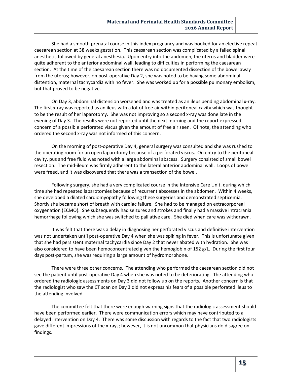She had a smooth prenatal course in this index pregnancy and was booked for an elective repeat caesarean section at 38 weeks gestation. This caesarean section was complicated by a failed spinal anesthetic followed by general anesthesia. Upon entry into the abdomen, the uterus and bladder were quite adherent to the anterior abdominal wall, leading to difficulties in performing the caesarean section. At the time of the caesarean section there was no documented dissection of the bowel away from the uterus; however, on post-operative Day 2, she was noted to be having some abdominal distention, maternal tachycardia with no fever. She was worked up for a possible pulmonary embolism, but that proved to be negative.

On Day 3, abdominal distension worsened and was treated as an ileus pending abdominal x-ray. The first x-ray was reported as an ileus with a lot of free air within peritoneal cavity which was thought to be the result of her laparotomy. She was not improving so a second x-ray was done late in the evening of Day 3. The results were not reported until the next morning and the report expressed concern of a possible perforated viscus given the amount of free air seen. Of note, the attending who ordered the second x-ray was not informed of this concern.

On the morning of post-operative Day 4, general surgery was consulted and she was rushed to the operating room for an open laparotomy because of a perforated viscus. On entry to the peritoneal cavity, pus and free fluid was noted with a large abdominal abscess. Surgery consisted of small bowel resection. The mid-ileum was firmly adherent to the lateral anterior abdominal wall. Loops of bowel were freed, and it was discovered that there was a transection of the bowel.

Following surgery, she had a very complicated course in the Intensive Care Unit, during which time she had repeated laparotomies because of recurrent abscesses in the abdomen. Within 4 weeks, she developed a dilated cardiomyopathy following these surgeries and demonstrated septicemia. Shortly she became short of breath with cardiac failure. She had to be managed on extracorporeal oxygenation (ECMO). She subsequently had seizures and strokes and finally had a massive intracranial hemorrhage following which she was switched to palliative care. She died when care was withdrawn.

It was felt that there was a delay in diagnosing her perforated viscus and definitive intervention was not undertaken until post-operative Day 4 when she was spiking in fever. This is unfortunate given that she had persistent maternal tachycardia since Day 2 that never abated with hydration. She was also considered to have been hemoconcentrated given the hemoglobin of 152 g/L. During the first four days post-partum, she was requiring a large amount of hydromorphone.

There were three other concerns. The attending who performed the caesarean section did not see the patient until post-operative Day 4 when she was noted to be deteriorating. The attending who ordered the radiologic assessments on Day 3 did not follow up on the reports. Another concern is that the radiologist who saw the CT scan on Day 3 did not express his fears of a possible perforated ileus to the attending involved.

The committee felt that there were enough warning signs that the radiologic assessment should have been performed earlier. There were communication errors which may have contributed to a delayed intervention on Day 4. There was some discussion with regards to the fact that two radiologists gave different impressions of the x-rays; however, it is not uncommon that physicians do disagree on findings.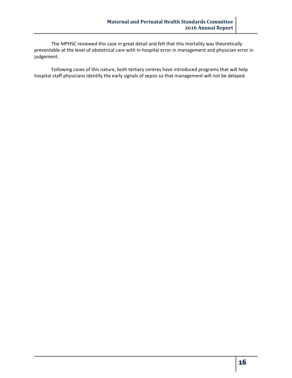The MPHSC reviewed this case in great detail and felt that this mortality was theoretically preventable at the level of obstetrical care with in-hospital error in management and physician error in judgement.

Following cases of this nature, both tertiary centres have introduced programs that will help hospital staff physicians identify the early signals of sepsis so that management will not be delayed.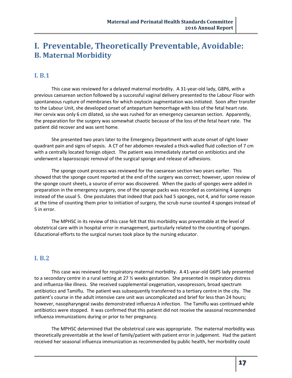## **I. Preventable, Theoretically Preventable, Avoidable: B. Maternal Morbidity**

## **I. B.1**

This case was reviewed for a delayed maternal morbidity. A 31-year-old lady, G8P6, with a previous caesarean section followed by a successful vaginal delivery presented to the Labour Floor with spontaneous rupture of membranes for which oxytocin augmentation was initiated. Soon after transfer to the Labour Unit, she developed onset of antepartum hemorrhage with loss of the fetal heart rate. Her cervix was only 6 cm dilated, so she was rushed for an emergency caesarean section. Apparently, the preparation for the surgery was somewhat chaotic because of the loss of the fetal heart rate. The patient did recover and was sent home.

She presented two years later to the Emergency Department with acute onset of right lower quadrant pain and signs of sepsis. A CT of her abdomen revealed a thick-walled fluid collection of 7 cm with a centrally located foreign object. The patient was immediately started on antibiotics and she underwent a laparoscopic removal of the surgical sponge and release of adhesions.

The sponge count process was reviewed for the caesarean section two years earlier. This showed that the sponge count reported at the end of the surgery was correct; however, upon review of the sponge count sheets, a source of error was discovered. When the packs of sponges were added in preparation in the emergency surgery, one of the sponge packs was recorded as containing 4 sponges instead of the usual 5. One postulates that indeed that pack had 5 sponges, not 4, and for some reason at the time of counting them prior to initiation of surgery, the scrub nurse counted 4 sponges instead of 5 in error.

The MPHSC in its review of this case felt that this morbidity was preventable at the level of obstetrical care with in hospital error in management, particularly related to the counting of sponges. Educational efforts to the surgical nurses took place by the nursing educator.

## **I. B.2**

This case was reviewed for respiratory maternal morbidity. A 41-year-old G6P5 lady presented to a secondary centre in a rural setting at 27  $\frac{1}{2}$  weeks gestation. She presented in respiratory distress and influenza-like illness. She received supplemental oxygenation, vasopressors, broad spectrum antibiotics and Tamiflu. The patient was subsequently transferred to a tertiary centre in the city. The patient's course in the adult intensive care unit was uncomplicated and brief for less than 24 hours; however, nasopharyngeal swabs demonstrated influenza A infection. The Tamiflu was continued while antibiotics were stopped. It was confirmed that this patient did not receive the seasonal recommended influenza immunizations during or prior to her pregnancy.

The MPHSC determined that the obstetrical care was appropriate. The maternal morbidity was theoretically preventable at the level of family/patient with patient error in judgement. Had the patient received her seasonal influenza immunization as recommended by public health, her morbidity could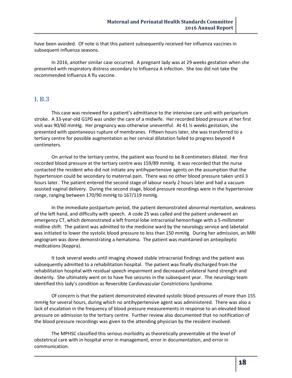have been avoided. Of note is that this patient subsequently received her influenza vaccines in subsequent influenza seasons.

In 2016, another similar case occurred. A pregnant lady was at 29 weeks gestation when she presented with respiratory distress secondary to Influenza A infection. She too did not take the recommended Influenza A flu vaccine.

### **I. B.3**

This case was reviewed for a patient's admittance to the intensive care unit with peripartum stroke. A 33-year-old G1P0 was under the care of a midwife. Her recorded blood pressure at her first visit was 90/60 mmHg. Her pregnancy was otherwise uneventful. At 41 ½ weeks gestation, she presented with spontaneous rupture of membranes. Fifteen hours later, she was transferred to a tertiary centre for possible augmentation as her cervical dilatation failed to progress beyond 4 centimeters.

On arrival to the tertiary centre, the patient was found to be 8 centimeters dilated. Her first recorded blood pressure at the tertiary centre was 159/89 mmHg. It was recorded that the nurse contacted the resident who did not initiate any antihypertensive agents on the assumption that the hypertension could be secondary to maternal pain. There was no other blood pressure taken until 3 hours later. The patient entered the second stage of labour nearly 2 hours later and had a vacuum assisted vaginal delivery. During the second stage, blood pressure recordings were in the hypertensive range, ranging between 170/90 mmHg to 167/119 mmHg.

In the immediate postpartum period, the patient demonstrated abnormal mentation, weakness of the left hand, and difficulty with speech. A code 25 was called and the patient underwent an emergency CT, which demonstrated a left frontal lobe intracranial hemorrhage with a 5-millimeter midline shift. The patient was admitted to the medicine ward by the neurology service and labetalol was initiated to lower the systolic blood pressure to less than 150 mmHg. During her admission, an MRI angiogram was done demonstrating a hematoma. The patient was maintained on antiepileptic medications (Keppra).

It took several weeks until imaging showed stable intracranial findings and the patient was subsequently admitted to a rehabilitation hospital. The patient was finally discharged from the rehabilitation hospital with residual speech impairment and decreased unilateral hand strength and dexterity. She ultimately went on to have five seizures in the subsequent year. The neurology team identified this lady's condition as Reversible Cardiovascular Constrictions Syndrome.

Of concern is that the patient demonstrated elevated systolic blood pressures of more than 155 mmHg for several hours, during which no antihypertensive agent was administered. There was also a lack of escalation in the frequency of blood pressure measurements in response to an elevated blood pressure on admission to the tertiary centre. Further review also documented that no notification of the blood pressure recordings was given to the attending physician by the resident involved.

The MPHSC classified this serious morbidity as theoretically preventable at the level of obstetrical care with in hospital error in management, error in documentation, and error in communication.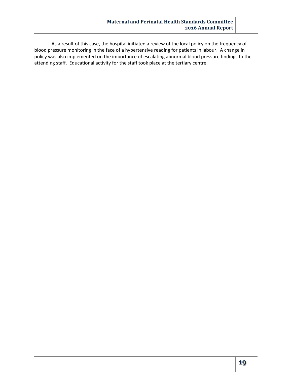As a result of this case, the hospital initiated a review of the local policy on the frequency of blood pressure monitoring in the face of a hypertensive reading for patients in labour. A change in policy was also implemented on the importance of escalating abnormal blood pressure findings to the attending staff. Educational activity for the staff took place at the tertiary centre.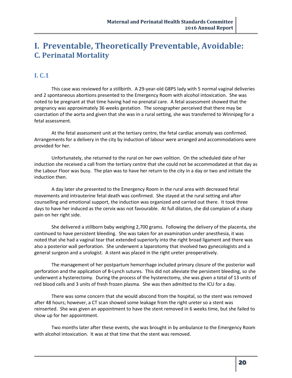## **I. Preventable, Theoretically Preventable, Avoidable: C. Perinatal Mortality**

## **I. C.1**

This case was reviewed for a stillbirth. A 29-year-old G8P5 lady with 5 normal vaginal deliveries and 2 spontaneous abortions presented to the Emergency Room with alcohol intoxication. She was noted to be pregnant at that time having had no prenatal care. A fetal assessment showed that the pregnancy was approximately 36 weeks gestation. The sonographer perceived that there may be coarctation of the aorta and given that she was in a rural setting, she was transferred to Winnipeg for a fetal assessment.

At the fetal assessment unit at the tertiary centre, the fetal cardiac anomaly was confirmed. Arrangements for a delivery in the city by induction of labour were arranged and accommodations were provided for her.

Unfortunately, she returned to the rural on her own volition. On the scheduled date of her induction she received a call from the tertiary centre that she could not be accommodated at that day as the Labour Floor was busy. The plan was to have her return to the city in a day or two and initiate the induction then.

A day later she presented to the Emergency Room in the rural area with decreased fetal movements and intrauterine fetal death was confirmed. She stayed at the rural setting and after counselling and emotional support, the induction was organized and carried out there. It took three days to have her induced as the cervix was not favourable. At full dilation, she did complain of a sharp pain on her right side.

She delivered a stillborn baby weighing 2,700 grams. Following the delivery of the placenta, she continued to have persistent bleeding. She was taken for an examination under anesthesia, it was noted that she had a vaginal tear that extended superiorly into the right broad ligament and there was also a posterior wall perforation. She underwent a laparotomy that involved two gynecologists and a general surgeon and a urologist. A stent was placed in the right ureter preoperatively.

The management of her postpartum hemorrhage included primary closure of the posterior wall perforation and the application of B-Lynch sutures. This did not alleviate the persistent bleeding, so she underwent a hysterectomy. During the process of the hysterectomy, she was given a total of 13 units of red blood cells and 3 units of fresh frozen plasma. She was then admitted to the ICU for a day.

There was some concern that she would abscond from the hospital, so the stent was removed after 48 hours; however, a CT scan showed some leakage from the right ureter so a stent was reinserted. She was given an appointment to have the stent removed in 6 weeks time, but she failed to show up for her appointment.

Two months later after these events, she was brought in by ambulance to the Emergency Room with alcohol intoxication. It was at that time that the stent was removed.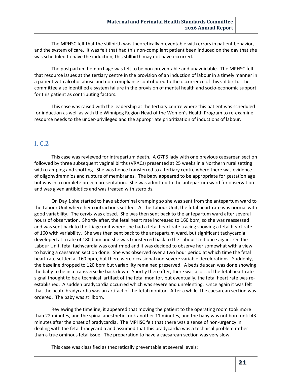The MPHSC felt that the stillbirth was theoretically preventable with errors in patient behavior, and the system of care. It was felt that had this non-compliant patient been induced on the day that she was scheduled to have the induction, this stillbirth may not have occurred.

The postpartum hemorrhage was felt to be non-preventable and unavoidable. The MPHSC felt that resource issues at the tertiary centre in the provision of an induction of labour in a timely manner in a patient with alcohol abuse and non-compliance contributed to the occurrence of this stillbirth. The committee also identified a system failure in the provision of mental health and socio-economic support for this patient as contributing factors.

This case was raised with the leadership at the tertiary centre where this patient was scheduled for induction as well as with the Winnipeg Region Head of the Women's Health Program to re-examine resource needs to the under-privileged and the appropriate prioritization of inductions of labour.

### **I. C.2**

This case was reviewed for intrapartum death. A G7P5 lady with one previous caesarean section followed by three subsequent vaginal births (VRACs) presented at 25 weeks in a Northern rural setting with cramping and spotting. She was hence transferred to a tertiary centre where there was evidence of oligohydramnios and rupture of membranes. The baby appeared to be appropriate for gestation age but was in a complete breech presentation. She was admitted to the antepartum ward for observation and was given antibiotics and was treated with steroids.

On Day 1 she started to have abdominal cramping so she was sent from the antepartum ward to the Labour Unit where her contractions settled. At the Labour Unit, the fetal heart rate was normal with good variability. The cervix was closed. She was then sent back to the antepartum ward after several hours of observation. Shortly after, the fetal heart rate increased to 160 bpm, so she was reassessed and was sent back to the triage unit where she had a fetal heart rate tracing showing a fetal heart rate of 160 with variability. She was then sent back to the antepartum ward, but significant tachycardia developed at a rate of 180 bpm and she was transferred back to the Labour Unit once again. On the Labour Unit, fetal tachycardia was confirmed and it was decided to observe her somewhat with a view to having a caesarean section done. She was observed over a two hour period at which time the fetal heart rate settled at 160 bpm, but there were occasional non-severe variable decelerations. Suddenly, the baseline dropped to 120 bpm but variability remained preserved. A bedside scan was done showing the baby to be in a transverse lie back down. Shortly thereafter, there was a loss of the fetal heart rate signal thought to be a technical artifact of the fetal monitor, but eventually, the fetal heart rate was reestablished. A sudden bradycardia occurred which was severe and unrelenting. Once again it was felt that the acute bradycardia was an artifact of the fetal monitor. After a while, the caesarean section was ordered. The baby was stillborn.

Reviewing the timeline, it appeared that moving the patient to the operating room took more than 22 minutes, and the spinal anesthetic took another 11 minutes, and the baby was not born until 43 minutes after the onset of bradycardia. The MPHSC felt that there was a sense of non-urgency in dealing with the fetal bradycardia and assumed that this bradycardia was a technical problem rather than a true ominous fetal issue. The preparation to have a caesarean section was very slow.

This case was classified as theoretically preventable at several levels: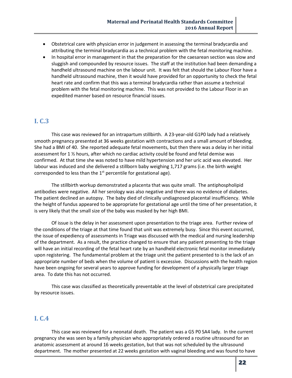- Obstetrical care with physician error in judgement in assessing the terminal bradycardia and attributing the terminal bradycardia as a technical problem with the fetal monitoring machine.
- In hospital error in management in that the preparation for the caesarean section was slow and sluggish and compounded by resource issues. The staff at the institution had been demanding a handheld ultrasound machine on the labour unit. It was felt that should the Labour Floor have a handheld ultrasound machine, then it would have provided for an opportunity to check the fetal heart rate and confirm that this was a terminal bradycardia rather than assume a technical problem with the fetal monitoring machine. This was not provided to the Labour Floor in an expedited manner based on resource financial issues.

## **I. C.3**

This case was reviewed for an intrapartum stillbirth. A 23-year-old G1P0 lady had a relatively smooth pregnancy presented at 36 weeks gestation with contractions and a small amount of bleeding. She had a BMI of 40. She reported adequate fetal movements, but then there was a delay in her initial assessment for 1 ½ hours, after which no cardiac activity could be found and fetal demise was confirmed. At that time she was noted to have mild hypertension and her uric acid was elevated. Her labour was induced and she delivered a stillborn baby weighing 1,717 grams (i.e. the birth weight corresponded to less than the  $1<sup>st</sup>$  percentile for gestational age).

The stillbirth workup demonstrated a placenta that was quite small. The antiphospholipid antibodies were negative. All her serology was also negative and there was no evidence of diabetes. The patient declined an autopsy. The baby died of clinically undiagnosed placental insufficiency. While the height of fundus appeared to be appropriate for gestational age until the time of her presentation, it is very likely that the small size of the baby was masked by her high BMI.

Of issue is the delay in her assessment upon presentation to the triage area. Further review of the conditions of the triage at that time found that unit was extremely busy. Since this event occurred, the issue of expediency of assessments in Triage was discussed with the medical and nursing leadership of the department. As a result, the practice changed to ensure that any patient presenting to the triage will have an initial recording of the fetal heart rate by an handheld electronic fetal monitor immediately upon registering. The fundamental problem at the triage unit the patient presented to is the lack of an appropriate number of beds when the volume of patient is excessive. Discussions with the health region have been ongoing for several years to approve funding for development of a physically larger triage area. To date this has not occurred.

This case was classified as theoretically preventable at the level of obstetrical care precipitated by resource issues.

## **I. C.4**

This case was reviewed for a neonatal death. The patient was a G5 P0 SA4 lady. In the current pregnancy she was seen by a family physician who appropriately ordered a routine ultrasound for an anatomic assessment at around 16 weeks gestation, but that was not scheduled by the ultrasound department. The mother presented at 22 weeks gestation with vaginal bleeding and was found to have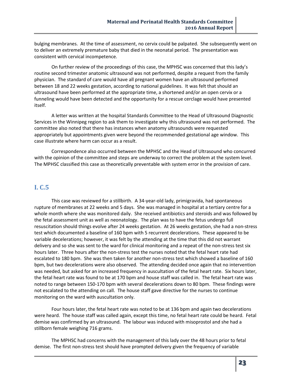bulging membranes. At the time of assessment, no cervix could be palpated. She subsequently went on to deliver an extremely premature baby that died in the neonatal period. The presentation was consistent with cervical incompetence.

On further review of the proceedings of this case, the MPHSC was concerned that this lady's routine second trimester anatomic ultrasound was not performed, despite a request from the family physician. The standard of care would have all pregnant women have an ultrasound performed between 18 and 22 weeks gestation, according to national guidelines. It was felt that should an ultrasound have been performed at the appropriate time, a shortened and/or an open cervix or a funneling would have been detected and the opportunity for a rescue cerclage would have presented itself.

A letter was written at the hospital Standards Committee to the Head of Ultrasound Diagnostic Services in the Winnipeg region to ask them to investigate why this ultrasound was not performed. The committee also noted that there has instances when anatomy ultrasounds were requested appropriately but appointments given were beyond the recommended gestational age window. This case illustrate where harm can occur as a result.

Correspondence also occurred between the MPHSC and the Head of Ultrasound who concurred with the opinion of the committee and steps are underway to correct the problem at the system level. The MPHSC classified this case as theoretically preventable with system error in the provision of care.

### **I. C.5**

This case was reviewed for a stillbirth. A 34-year-old lady, primigravida, had spontaneous rupture of membranes at 22 weeks and 5 days. She was managed in hospital at a tertiary centre for a whole month where she was monitored daily. She received antibiotics and steroids and was followed by the fetal assessment unit as well as neonatology. The plan was to have the fetus undergo full resuscitation should things evolve after 24 weeks gestation. At 26 weeks gestation, she had a non-stress test which documented a baseline of 160 bpm with 5 recurrent decelerations. These appeared to be variable decelerations; however, it was felt by the attending at the time that this did not warrant delivery and so she was sent to the ward for clinical monitoring and a repeat of the non-stress test six hours later. Three hours after the non-stress test the nurses noted that the fetal heart rate had escalated to 180 bpm. She was then taken for another non-stress test which showed a baseline of 160 bpm, but two decelerations were also observed. The attending decided once again that no intervention was needed, but asked for an increased frequency in auscultation of the fetal heart rate. Six hours later, the fetal heart rate was found to be at 170 bpm and house staff was called in. The fetal heart rate was noted to range between 150-170 bpm with several decelerations down to 80 bpm. These findings were not escalated to the attending on call. The house staff gave directive for the nurses to continue monitoring on the ward with auscultation only.

Four hours later, the fetal heart rate was noted to be at 136 bpm and again two decelerations were heard. The house staff was called again, except this time, no fetal heart rate could be heard. Fetal demise was confirmed by an ultrasound. The labour was induced with misoprostol and she had a stillborn female weighing 716 grams.

The MPHSC had concerns with the management of this lady over the 48 hours prior to fetal demise. The first non-stress test should have prompted delivery given the frequency of variable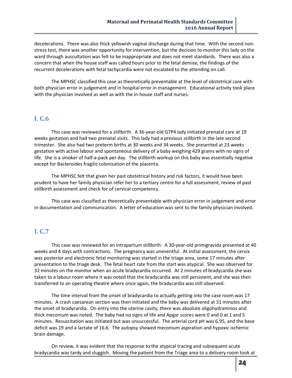decelerations. There was also thick yellowish vaginal discharge during that time. With the second nonstress test, there was another opportunity for intervention, but the decision to monitor this lady on the ward through auscultation was felt to be inappropriate and does not meet standards. There was also a concern that when the house staff was called hours prior to the fetal demise, the findings of the recurrent decelerations with fetal tachycardia were not escalated to the attending on call.

The MPHSC classified this case as theoretically preventable at the level of obstetrical care with both physician error in judgement and in hospital error in management. Educational activity took place with the physician involved as well as with the in-house staff and nurses.

## **I. C.6**

This case was reviewed for a stillbirth. A 36-year-old G7P4 lady initiated prenatal care at 19 weeks gestation and had two prenatal visits. This lady had a previous stillbirth in the late second trimester. She also had two preterm births at 30 weeks and 34 weeks. She presented at 23 weeks gestation with active labour and spontaneous delivery of a baby weighing 429 grams with no signs of life. She is a smoker of half-a-pack per day. The stillbirth workup on this baby was essentially negative except for Bacteroides fragilis colonization of the placenta.

The MPHSC felt that given her past obstetrical history and risk factors, it would have been prudent to have her family physician refer her to a tertiary centre for a full assessment, review of past stillbirth assessment and check for of cervical competency.

This case was classified as theoretically preventable with physician error in judgement and error in documentation and communication. A letter of education was sent to the family physician involved.

## **I. C.7**

This case was reviewed for an intrapartum stillbirth. A 30-year-old primigravida presented at 40 weeks and 4 days with contractions. The pregnancy was uneventful. At initial assessment, the cervix was posterior and electronic fetal monitoring was started in the triage area, some 17 minutes after presentation to the triage desk. The fetal heart rate from the start was atypical. She was observed for 32 minutes on the monitor when an acute bradycardia occurred. At 2 minutes of bradycardia she was taken to a labour room where it was noted that the bradycardia was still persistent, and she was then transferred to an operating theatre where once again, the bradycardia was still observed.

The time interval from the onset of bradycardia to actually getting into the case room was 17 minutes. A crash caesarean section was then initiated and the baby was delivered at 31 minutes after the onset of bradycardia. On entry into the uterine cavity, there was absolute oligohydramnios and thick meconium was noted. The baby had no signs of life and Apgar scores were 0 and 0 at 1 and 5 minutes. Resuscitation was initiated but was unsuccessful. The arterial cord pH was 6.95, and the base deficit was 19 and a lactate of 16.6. The autopsy showed meconium aspiration and hypoxic ischemic brain damage.

On review, it was evident that the response to the atypical tracing and subsequent acute bradycardia was tardy and sluggish. Moving the patient from the Triage area to a delivery room took at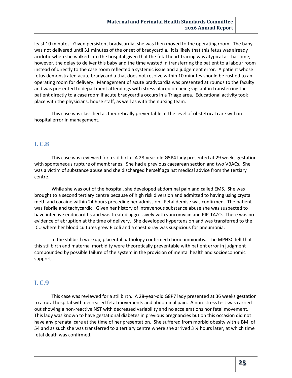least 10 minutes. Given persistent bradycardia, she was then moved to the operating room. The baby was not delivered until 31 minutes of the onset of bradycardia. It is likely that this fetus was already acidotic when she walked into the hospital given that the fetal heart tracing was atypical at that time; however, the delay to deliver this baby and the time wasted in transferring the patient to a labour room instead of directly to the case room reflected a systemic issue and a judgement error. A patient whose fetus demonstrated acute bradycardia that does not resolve within 10 minutes should be rushed to an operating room for delivery. Management of acute bradycardia was presented at rounds to the faculty and was presented to department attendings with stress placed on being vigilant in transferring the patient directly to a case room if acute bradycardia occurs in a Triage area. Educational activity took place with the physicians, house staff, as well as with the nursing team.

This case was classified as theoretically preventable at the level of obstetrical care with in hospital error in management.

## **I. C.8**

This case was reviewed for a stillbirth. A 28-year-old G5P4 lady presented at 29 weeks gestation with spontaneous rupture of membranes. She had a previous caesarean section and two VBACs. She was a victim of substance abuse and she discharged herself against medical advice from the tertiary centre.

While she was out of the hospital, she developed abdominal pain and called EMS. She was brought to a second tertiary centre because of high risk diversion and admitted to having using crystal meth and cocaine within 24 hours preceding her admission. Fetal demise was confirmed. The patient was febrile and tachycardic. Given her history of intravenous substance abuse she was suspected to have infective endocarditis and was treated aggressively with vancomycin and PIP-TAZO. There was no evidence of abruption at the time of delivery. She developed hypertension and was transferred to the ICU where her blood cultures grew E.coli and a chest x-ray was suspicious for pneumonia.

In the stillbirth workup, placental pathology confirmed chorioamnionitis. The MPHSC felt that this stillbirth and maternal morbidity were theoretically preventable with patient error in judgment compounded by possible failure of the system in the provision of mental health and socioeconomic support.

## **I. C.9**

This case was reviewed for a stillbirth. A 28-year-old G8P7 lady presented at 36 weeks gestation to a rural hospital with decreased fetal movements and abdominal pain. A non-stress test was carried out showing a non-reactive NST with decreased variability and no accelerations nor fetal movement. This lady was known to have gestational diabetes in previous pregnancies but on this occasion did not have any prenatal care at the time of her presentation. She suffered from morbid obesity with a BMI of 54 and as such she was transferred to a tertiary centre where she arrived 3 ½ hours later, at which time fetal death was confirmed.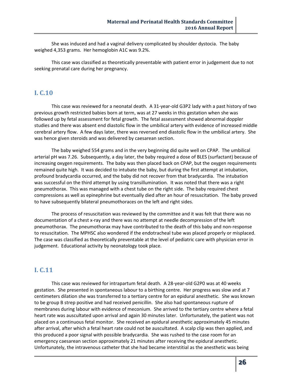She was induced and had a vaginal delivery complicated by shoulder dystocia. The baby weighed 4,353 grams. Her hemoglobin A1C was 9.2%.

This case was classified as theoretically preventable with patient error in judgement due to not seeking prenatal care during her pregnancy.

## **I. C.10**

This case was reviewed for a neonatal death. A 31-year-old G3P2 lady with a past history of two previous growth restricted babies born at term, was at 27 weeks in this gestation when she was followed up by fetal assessment for fetal growth. The fetal assessment showed abnormal doppler studies and there was absent end diastolic flow in the umbilical artery with evidence of increased middle cerebral artery flow. A few days later, there was reversed end diastolic flow in the umbilical artery. She was hence given steroids and was delivered by caesarean section.

The baby weighed 554 grams and in the very beginning did quite well on CPAP. The umbilical arterial pH was 7.26. Subsequently, a day later, the baby required a dose of BLES (surfactant) because of increasing oxygen requirements. The baby was then placed back on CPAP, but the oxygen requirements remained quite high. It was decided to intubate the baby, but during the first attempt at intubation, profound bradycardia occurred, and the baby did not recover from that bradycardia. The intubation was successful on the third attempt by using transillumination. It was noted that there was a right pneumothorax. This was managed with a chest tube on the right side. The baby required chest compressions as well as epinephrine but eventually died after an hour of resuscitation. The baby proved to have subsequently bilateral pneumothoraces on the left and right sides.

The process of resuscitation was reviewed by the committee and it was felt that there was no documentation of a chest x-ray and there was no attempt at needle decompression of the left pneumothorax. The pneumothorax may have contributed to the death of this baby and non-response to resuscitation. The MPHSC also wondered if the endotracheal tube was placed properly or misplaced. The case was classified as theoretically preventable at the level of pediatric care with physician error in judgement. Educational activity by neonatology took place.

## **I. C.11**

This case was reviewed for intrapartum fetal death. A 28-year-old G2P0 was at 40 weeks gestation. She presented in spontaneous labour to a birthing centre. Her progress was slow and at 7 centimeters dilation she was transferred to a tertiary centre for an epidural anesthetic. She was known to be group B strep positive and had received penicillin. She also had spontaneous rupture of membranes during labour with evidence of meconium. She arrived to the tertiary centre where a fetal heart rate was auscultated upon arrival and again 30 minutes later. Unfortunately, the patient was not placed on a continuous fetal monitor. She received an epidural anesthetic approximately 45 minutes after arrival, after which a fetal heart rate could not be auscultated. A scalp clip was then applied, and this produced a poor signal with possible bradycardia. She was rushed to the case room for an emergency caesarean section approximately 21 minutes after receiving the epidural anesthetic. Unfortunately, the intravenous catheter that she had became interstitial as the anesthetic was being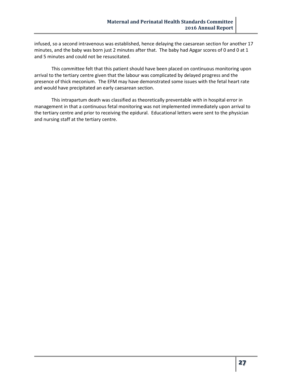infused, so a second intravenous was established, hence delaying the caesarean section for another 17 minutes, and the baby was born just 2 minutes after that. The baby had Apgar scores of 0 and 0 at 1 and 5 minutes and could not be resuscitated.

This committee felt that this patient should have been placed on continuous monitoring upon arrival to the tertiary centre given that the labour was complicated by delayed progress and the presence of thick meconium. The EFM may have demonstrated some issues with the fetal heart rate and would have precipitated an early caesarean section.

This intrapartum death was classified as theoretically preventable with in hospital error in management in that a continuous fetal monitoring was not implemented immediately upon arrival to the tertiary centre and prior to receiving the epidural. Educational letters were sent to the physician and nursing staff at the tertiary centre.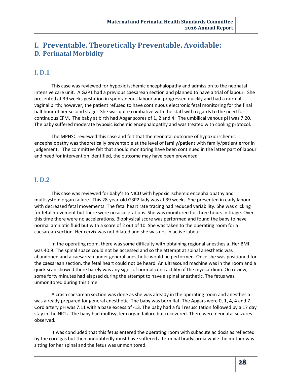## **I. Preventable, Theoretically Preventable, Avoidable: D. Perinatal Morbidity**

## **I. D.1**

This case was reviewed for hypoxic ischemic encephalopathy and admission to the neonatal intensive care unit. A G2P1 had a previous caesarean section and planned to have a trial of labour. She presented at 39 weeks gestation in spontaneous labour and progressed quickly and had a normal vaginal birth; however, the patient refused to have continuous electronic fetal monitoring for the final half hour of her second stage. She was quite combative with the staff with regards to the need for continuous EFM. The baby at birth had Apgar scores of 1, 2 and 4. The umbilical venous pH was 7.20. The baby suffered moderate hypoxic ischemic encephalopathy and was treated with cooling protocol.

The MPHSC reviewed this case and felt that the neonatal outcome of hypoxic ischemic encephalopathy was theoretically preventable at the level of family/patient with family/patient error in judgement. The committee felt that should monitoring have been continued in the latter part of labour and need for intervention identified, the outcome may have been prevented

## **I. D.2**

This case was reviewed for baby's to NICU with hypoxic ischemic encephalopathy and multisystem organ failure. This 28-year-old G3P2 lady was at 39 weeks. She presented in early labour with decreased fetal movements. The fetal heart rate tracing had reduced variability. She was clicking for fetal movement but there were no accelerations. She was monitored for three hours in triage. Over this time there were no accelerations. Biophysical score was performed and found the baby to have normal amniotic fluid but with a score of 2 out of 10. She was taken to the operating room for a caesarean section. Her cervix was not dilated and she was not in active labour.

In the operating room, there was some difficulty with obtaining regional anesthesia. Her BMI was 40.9. The spinal space could not be accessed and so the attempt at spinal anesthetic was abandoned and a caesarean under general anesthetic would be performed. Once she was positioned for the caesarean section, the fetal heart could not be heard. An ultrasound machine was in the room and a quick scan showed there barely was any signs of normal contractility of the myocardium. On review, some forty minutes had elapsed during the attempt to have a spinal anesthetic. The fetus was unmonitored during this time.

A crash caesarean section was done as she was already in the operating room and anesthesia was already prepared for general anesthetic. The baby was born flat. The Apgars were 0, 1, 4, 4 and 7. Cord artery pH was 7.11 with a base excess of -13. The baby had a full resuscitation followed by a 17 day stay in the NICU. The baby had multisystem organ failure but recovered. There were neonatal seizures observed.

It was concluded that this fetus entered the operating room with subacute acidosis as reflected by the cord gas but then undoubtedly must have suffered a terminal bradycardia while the mother was sitting for her spinal and the fetus was unmonitored.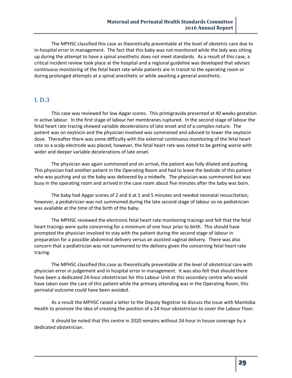The MPHSC classified this case as theoretically preventable at the level of obstetric care due to in-hospital error in management. The fact that this baby was not monitored while the lady was sitting up during the attempt to have a spinal anesthetic does not meet standards. As a result of this case, a critical incident review took place at the hospital and a regional guideline was developed that advises continuous monitoring of the fetal heart rate while patients are in transit to the operating room or during prolonged attempts at a spinal anesthetic or while awaiting a general anesthetic.

## **I. D.3**

This case was reviewed for low Apgar scores. This primigravida presented at 40 weeks gestation in active labour. In the first stage of labour her membranes ruptured. In the second stage of labour the fetal heart rate tracing showed variable decelerations of late onset and of a complex nature. The patient was on oxytocin and the physician involved was summoned and advised to lower the oxytocin dose. Thereafter there was some difficulty with the external continuous monitoring of the fetal heart rate so a scalp electrode was placed; however, the fetal heart rate was noted to be getting worse with wider and deeper variable decelerations of late onset.

The physician was again summoned and on arrival, the patient was fully dilated and pushing. This physician had another patient in the Operating Room and had to leave the bedside of this patient who was pushing and so the baby was delivered by a midwife. The physician was summoned but was busy in the operating room and arrived in the case room about five minutes after the baby was born.

The baby had Apgar scores of 2 and 6 at 1 and 5 minutes and needed neonatal resuscitation; however, a pediatrician was not summoned during the late second stage of labour so no pediatrician was available at the time of the birth of the baby.

The MPHSC reviewed the electronic fetal heart rate monitoring tracings and felt that the fetal heart tracings were quite concerning for a minimum of one hour prior to birth. This should have prompted the physician involved to stay with the patient during the second stage of labour in preparation for a possible abdominal delivery versus an assisted vaginal delivery. There was also concern that a pediatrician was not summoned to the delivery given the concerning fetal heart rate tracing.

The MPHSC classified this case as theoretically preventable at the level of obstetrical care with physician error in judgement and in hospital error in management. It was also felt that should there have been a dedicated 24-hour obstetrician for this Labour Unit at this secondary centre who would have taken over the care of this patient while the primary attending was in the Operating Room, this perinatal outcome could have been avoided.

As a result the MPHSC raised a letter to the Deputy Registrar to discuss the issue with Manitoba Health to promote the idea of creating the position of a 24-hour obstetrician to cover the Labour Floor.

It should be noted that this centre in 2020 remains without 24-hour in house coverage by a dedicated obstetrician.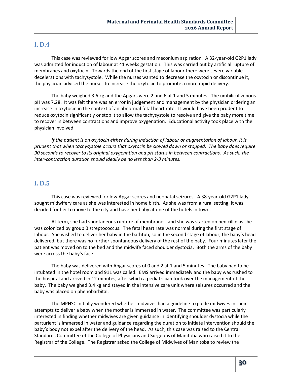### **I. D.4**

This case was reviewed for low Apgar scores and meconium aspiration. A 32-year-old G2P1 lady was admitted for induction of labour at 41 weeks gestation. This was carried out by artificial rupture of membranes and oxytocin. Towards the end of the first stage of labour there were severe variable decelerations with tachysystole. While the nurses wanted to decrease the oxytocin or discontinue it, the physician advised the nurses to increase the oxytocin to promote a more rapid delivery.

The baby weighed 3.6 kg and the Apgars were 2 and 6 at 1 and 5 minutes. The umbilical venous pH was 7.28. It was felt there was an error in judgement and management by the physician ordering an increase in oxytocin in the context of an abnormal fetal heart rate. It would have been prudent to reduce oxytocin significantly or stop it to allow the tachysystole to resolve and give the baby more time to recover in between contractions and improve oxygenation. Educational activity took place with the physician involved.

*If the patient is on oxytocin either during induction of labour or augmentation of labour, it is prudent that when tachysystole occurs that oxytocin be slowed down or stopped. The baby does require 90 seconds to recover to its original oxygenation and pH status in between contractions. As such, the inter-contraction duration should ideally be no less than 2-3 minutes.*

## **I. D.5**

This case was reviewed for low Apgar scores and neonatal seizures. A 38-year-old G2P1 lady sought midwifery care as she was interested in home birth. As she was from a rural setting, it was decided for her to move to the city and have her baby at one of the hotels in town.

At term, she had spontaneous rupture of membranes, and she was started on penicillin as she was colonized by group B streptococcus. The fetal heart rate was normal during the first stage of labour. She wished to deliver her baby in the bathtub, so in the second stage of labour, the baby's head delivered, but there was no further spontaneous delivery of the rest of the baby. Four minutes later the patient was moved on to the bed and the midwife faced shoulder dystocia. Both the arms of the baby were across the baby's face.

The baby was delivered with Apgar scores of 0 and 2 at 1 and 5 minutes. The baby had to be intubated in the hotel room and 911 was called. EMS arrived immediately and the baby was rushed to the hospital and arrived in 12 minutes, after which a pediatrician took over the management of the baby. The baby weighed 3.4 kg and stayed in the intensive care unit where seizures occurred and the baby was placed on phenobarbital.

The MPHSC initially wondered whether midwives had a guideline to guide midwives in their attempts to deliver a baby when the mother is immersed in water. The committee was particularly interested in finding whether midwives are given guidance in identifying shoulder dystocia while the parturient is immersed in water and guidance regarding the duration to initiate intervention should the baby's body not expel after the delivery of the head. As such, this case was raised to the Central Standards Committee of the College of Physicians and Surgeons of Manitoba who raised it to the Registrar of the College. The Registrar asked the College of Midwives of Manitoba to review the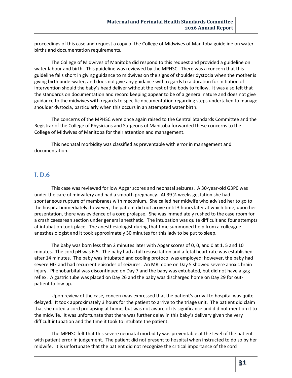proceedings of this case and request a copy of the College of Midwives of Manitoba guideline on water births and documentation requirements.

The College of Midwives of Manitoba did respond to this request and provided a guideline on water labour and birth. This guideline was reviewed by the MPHSC. There was a concern that this guideline falls short in giving guidance to midwives on the signs of shoulder dystocia when the mother is giving birth underwater, and does not give any guidance with regards to a duration for initiation of intervention should the baby's head deliver without the rest of the body to follow. It was also felt that the standards on documentation and record keeping appear to be of a general nature and does not give guidance to the midwives with regards to specific documentation regarding steps undertaken to manage shoulder dystocia, particularly when this occurs in an attempted water birth.

The concerns of the MPHSC were once again raised to the Central Standards Committee and the Registrar of the College of Physicians and Surgeons of Manitoba forwarded these concerns to the College of Midwives of Manitoba for their attention and management.

This neonatal morbidity was classified as preventable with error in management and documentation.

#### **I. D.6**

This case was reviewed for low Apgar scores and neonatal seizures. A 30-year-old G3P0 was under the care of midwifery and had a smooth pregnancy. At 39 ½ weeks gestation she had spontaneous rupture of membranes with meconium. She called her midwife who advised her to go to the hospital immediately; however, the patient did not arrive until 3 hours later at which time, upon her presentation, there was evidence of a cord prolapse. She was immediately rushed to the case room for a crash caesarean section under general anesthetic. The intubation was quite difficult and four attempts at intubation took place. The anesthesiologist during that time summoned help from a colleague anesthesiologist and it took approximately 30 minutes for this lady to be put to sleep.

The baby was born less than 2 minutes later with Apgar scores of 0, 0, and 0 at 1, 5 and 10 minutes. The cord pH was 6.5. The baby had a full resuscitation and a fetal heart rate was established after 14 minutes. The baby was intubated and cooling protocol was employed; however, the baby had severe HIE and had recurrent episodes of seizures. An MRI done on Day 5 showed severe anoxic brain injury. Phenobarbital was discontinued on Day 7 and the baby was extubated, but did not have a gag reflex. A gastric tube was placed on Day 26 and the baby was discharged home on Day 29 for outpatient follow up.

Upon review of the case, concern was expressed that the patient's arrival to hospital was quite delayed. It took approximately 3 hours for the patient to arrive to the triage unit. The patient did claim that she noted a cord prolapsing at home, but was not aware of its significance and did not mention it to the midwife. It was unfortunate that there was further delay in this baby's delivery given the very difficult intubation and the time it took to intubate the patient.

The MPHSC felt that this severe neonatal morbidity was preventable at the level of the patient with patient error in judgement. The patient did not present to hospital when instructed to do so by her midwife. It is unfortunate that the patient did not recognize the critical importance of the cord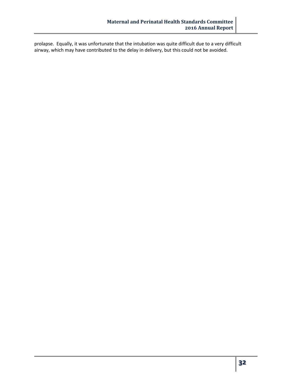prolapse. Equally, it was unfortunate that the intubation was quite difficult due to a very difficult airway, which may have contributed to the delay in delivery, but this could not be avoided.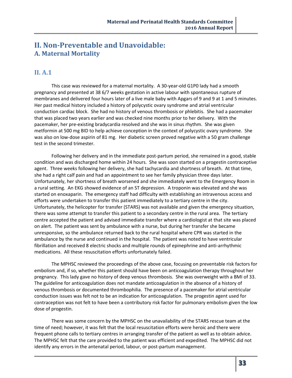## **II. Non-Preventable and Unavoidable: A. Maternal Mortality**

## **II. A.1**

This case was reviewed for a maternal mortality. A 30-year-old G1P0 lady had a smooth pregnancy and presented at 38 6/7 weeks gestation in active labour with spontaneous rupture of membranes and delivered four hours later of a live male baby with Apgars of 9 and 9 at 1 and 5 minutes. Her past medical history included a history of polycystic ovary syndrome and atrial ventricular conduction cardiac block. She had no history of venous thrombosis or phlebitis. She had a pacemaker that was placed two years earlier and was checked nine months prior to her delivery. With the pacemaker, her pre-existing bradycardia resolved and she was in sinus rhythm. She was given metformin at 500 mg BID to help achieve conception in the context of polycystic ovary syndrome. She was also on low-dose aspirin of 81 mg. Her diabetic screen proved negative with a 50 gram challenge test in the second trimester.

Following her delivery and in the immediate post-partum period, she remained in a good, stable condition and was discharged home within 24 hours. She was soon started on a progestin contraceptive agent. Three weeks following her delivery, she had tachycardia and shortness of breath. At that time, she had a right calf pain and had an appointment to see her family physician three days later. Unfortunately, her shortness of breath worsened and she immediately went to the Emergency Room in a rural setting. An EKG showed evidence of an ST depression. A troponin was elevated and she was started on enoxaparin. The emergency staff had difficulty with establishing an intravenous access and efforts were undertaken to transfer this patient immediately to a tertiary centre in the city. Unfortunately, the helicopter for transfer (STARS) was not available and given the emergency situation, there was some attempt to transfer this patient to a secondary centre in the rural area. The tertiary centre accepted the patient and advised immediate transfer where a cardiologist at that site was placed on alert. The patient was sent by ambulance with a nurse, but during her transfer she became unresponsive, so the ambulance returned back to the rural hospital where CPR was started in the ambulance by the nurse and continued in the hospital. The patient was noted to have ventricular fibrillation and received 8 electric shocks and multiple rounds of epinephrine and anti-arrhythmic medications. All these resuscitation efforts unfortunately failed.

The MPHSC reviewed the proceedings of the above case, focusing on preventable risk factors for embolism and, if so, whether this patient should have been on anticoagulation therapy throughout her pregnancy. This lady gave no history of deep venous thrombosis. She was overweight with a BMI of 33. The guideline for anticoagulation does not mandate anticoagulation in the absence of a history of venous thrombosis or documented thrombophilia. The presence of a pacemaker for atrial ventricular conduction issues was felt not to be an indication for anticoagulation. The progestin agent used for contraception was not felt to have been a contributory risk factor for pulmonary embolism given the low dose of progestin.

There was some concern by the MPHSC on the unavailability of the STARS rescue team at the time of need; however, it was felt that the local resuscitation efforts were heroic and there were frequent phone calls to tertiary centres in arranging transfer of the patient as well as to obtain advice. The MPHSC felt that the care provided to the patient was efficient and expedited. The MPHSC did not identify any errors in the antenatal period, labour, or post-partum management.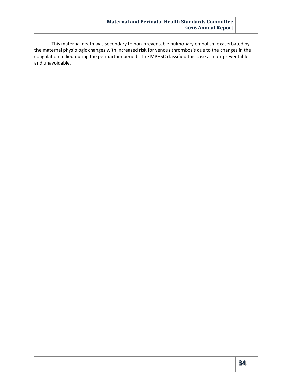This maternal death was secondary to non-preventable pulmonary embolism exacerbated by the maternal physiologic changes with increased risk for venous thrombosis due to the changes in the coagulation milieu during the peripartum period. The MPHSC classified this case as non-preventable and unavoidable.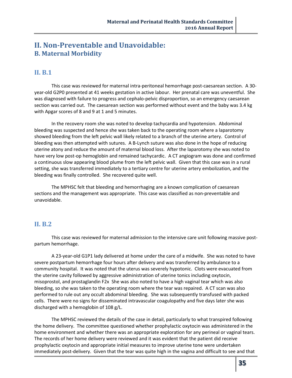## **II. Non-Preventable and Unavoidable: B. Maternal Morbidity**

## **II. B.1**

This case was reviewed for maternal intra-peritoneal hemorrhage post-caesarean section. A 30 year-old G2P0 presented at 41 weeks gestation in active labour. Her prenatal care was uneventful. She was diagnosed with failure to progress and cephalo-pelvic disproportion, so an emergency caesarean section was carried out. The caesarean section was performed without event and the baby was 3.4 kg with Apgar scores of 8 and 9 at 1 and 5 minutes.

In the recovery room she was noted to develop tachycardia and hypotension. Abdominal bleeding was suspected and hence she was taken back to the operating room where a laparotomy showed bleeding from the left pelvic wall likely related to a branch of the uterine artery. Control of bleeding was then attempted with sutures. A B-Lynch suture was also done in the hope of reducing uterine atony and reduce the amount of maternal blood loss. After the laparotomy she was noted to have very low post-op hemoglobin and remained tachycardic. A CT angiogram was done and confirmed a continuous slow appearing blood plume from the left pelvic wall. Given that this case was in a rural setting, she was transferred immediately to a tertiary centre for uterine artery embolization, and the bleeding was finally controlled. She recovered quite well.

The MPHSC felt that bleeding and hemorrhaging are a known complication of caesarean sections and the management was appropriate. This case was classified as non-preventable and unavoidable.

## **II. B.2**

This case was reviewed for maternal admission to the intensive care unit following massive postpartum hemorrhage.

A 23-year-old G1P1 lady delivered at home under the care of a midwife. She was noted to have severe postpartum hemorrhage four hours after delivery and was transferred by ambulance to a community hospital. It was noted that the uterus was severely hypotonic. Clots were evacuated from the uterine cavity followed by aggressive administration of uterine tonics including oxytocin, misoprostol, and prostaglandin F2x She was also noted to have a high vaginal tear which was also bleeding, so she was taken to the operating room where the tear was repaired. A CT scan was also performed to rule out any occult abdominal bleeding. She was subsequently transfused with packed cells. There were no signs for disseminated intravascular coagulopathy and five days later she was discharged with a hemoglobin of 108 g/L.

The MPHSC reviewed the details of the case in detail, particularly to what transpired following the home delivery. The committee questioned whether prophylactic oxytocin was administered in the home environment and whether there was an appropriate exploration for any perineal or vaginal tears. The records of her home delivery were reviewed and it was evident that the patient did receive prophylactic oxytocin and appropriate initial measures to improve uterine tone were undertaken immediately post-delivery. Given that the tear was quite high in the vagina and difficult to see and that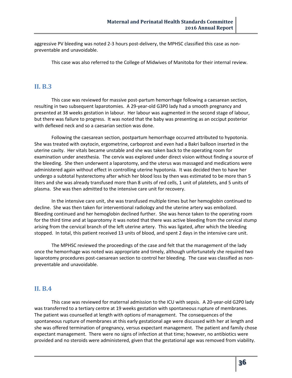aggressive PV bleeding was noted 2-3 hours post-delivery, the MPHSC classified this case as nonpreventable and unavoidable.

This case was also referred to the College of Midwives of Manitoba for their internal review.

## **II. B.3**

This case was reviewed for massive post-partum hemorrhage following a caesarean section, resulting in two subsequent laparotomies. A 29-year-old G3P0 lady had a smooth pregnancy and presented at 38 weeks gestation in labour. Her labour was augmented in the second stage of labour, but there was failure to progress. It was noted that the baby was presenting as an occiput posterior with deflexed neck and so a caesarian section was done.

Following the caesarean section, postpartum hemorrhage occurred attributed to hypotonia. She was treated with oxytocin, ergometrine, carboprost and even had a Bakri balloon inserted in the uterine cavity. Her vitals became unstable and she was taken back to the operating room for examination under anesthesia. The cervix was explored under direct vision without finding a source of the bleeding. She then underwent a laparotomy, and the uterus was massaged and medications were administered again without effect in controlling uterine hypotonia. It was decided then to have her undergo a subtotal hysterectomy after which her blood loss by then was estimated to be more than 5 liters and she was already transfused more than 8 units of red cells, 1 unit of platelets, and 5 units of plasma. She was then admitted to the intensive care unit for recovery.

In the intensive care unit, she was transfused multiple times but her hemoglobin continued to decline. She was then taken for interventional radiology and the uterine artery was embolized. Bleeding continued and her hemoglobin declined further. She was hence taken to the operating room for the third time and at laparotomy it was noted that there was active bleeding from the cervical stump arising from the cervical branch of the left uterine artery. This was ligated, after which the bleeding stopped. In total, this patient received 13 units of blood, and spent 2 days in the intensive care unit.

The MPHSC reviewed the proceedings of the case and felt that the management of the lady once the hemorrhage was noted was appropriate and timely, although unfortunately she required two laparotomy procedures post-caesarean section to control her bleeding. The case was classified as nonpreventable and unavoidable.

## **II. B.4**

This case was reviewed for maternal admission to the ICU with sepsis. A 20-year-old G2P0 lady was transferred to a tertiary centre at 19 weeks gestation with spontaneous rupture of membranes. The patient was counselled at length with options of management. The consequences of the spontaneous rupture of membranes at this early gestational age were discussed with her at length and she was offered termination of pregnancy, versus expectant management. The patient and family chose expectant management. There were no signs of infection at that time; however, no antibiotics were provided and no steroids were administered, given that the gestational age was removed from viability.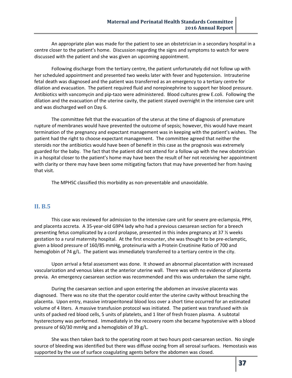An appropriate plan was made for the patient to see an obstetrician in a secondary hospital in a centre closer to the patient's home. Discussion regarding the signs and symptoms to watch for were discussed with the patient and she was given an upcoming appointment.

Following discharge from the tertiary centre, the patient unfortunately did not follow up with her scheduled appointment and presented two weeks later with fever and hypotension. Intrauterine fetal death was diagnosed and the patient was transferred as an emergency to a tertiary centre for dilation and evacuation. The patient required fluid and norepinephrine to support her blood pressure. Antibiotics with vancomycin and pip-tazo were administered. Blood cultures grew E.coli. Following the dilation and the evacuation of the uterine cavity, the patient stayed overnight in the intensive care unit and was discharged well on Day 6.

The committee felt that the evacuation of the uterus at the time of diagnosis of premature rupture of membranes would have prevented the outcome of sepsis; however, this would have meant termination of the pregnancy and expectant management was in keeping with the patient's wishes. The patient had the right to choose expectant management. The committee agreed that neither the steroids nor the antibiotics would have been of benefit in this case as the prognosis was extremely guarded for the baby. The fact that the patient did not attend for a follow up with the new obstetrician in a hospital closer to the patient's home may have been the result of her not receiving her appointment with clarity or there may have been some mitigating factors that may have prevented her from having that visit.

The MPHSC classified this morbidity as non-preventable and unavoidable.

#### **II. B.5**

This case was reviewed for admission to the intensive care unit for severe pre-eclampsia, PPH, and placenta accreta. A 35-year-old G9P4 lady who had a previous caesarean section for a breech presenting fetus complicated by a cord prolapse, presented in this index pregnancy at 37 ½ weeks gestation to a rural maternity hospital. At the first encounter, she was thought to be pre-eclamptic, given a blood pressure of 160/85 mmHg, proteinuria with a Protein Creatinine Ratio of 700 and hemoglobin of 74 g/L. The patient was immediately transferred to a tertiary centre in the city.

Upon arrival a fetal assessment was done. It showed an abnormal placentation with increased vascularization and venous lakes at the anterior uterine wall. There was with no evidence of placenta previa. An emergency caesarean section was recommended and this was undertaken the same night.

During the caesarean section and upon entering the abdomen an invasive placenta was diagnosed. There was no site that the operator could enter the uterine cavity without breaching the placenta. Upon entry, massive intraperitoneal blood loss over a short time occurred for an estimated volume of 4 liters. A massive transfusion protocol was initiated. The patient was transfused with six units of packed red blood cells, 5 units of platelets, and 1 liter of fresh frozen plasma. A subtotal hysterectomy was performed. Immediately in the recovery room she became hypotensive with a blood pressure of 60/30 mmHg and a hemoglobin of 39 g/L.

She was then taken back to the operating room at two hours post-caesarean section. No single source of bleeding was identified but there was diffuse oozing from all serosal surfaces. Hemostasis was supported by the use of surface coagulating agents before the abdomen was closed.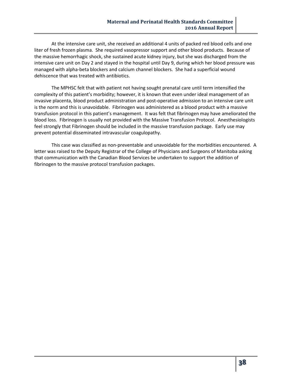At the intensive care unit, she received an additional 4 units of packed red blood cells and one liter of fresh frozen plasma. She required vasopressor support and other blood products. Because of the massive hemorrhagic shock, she sustained acute kidney injury, but she was discharged from the intensive care unit on Day 2 and stayed in the hospital until Day 9, during which her blood pressure was managed with alpha-beta blockers and calcium channel blockers. She had a superficial wound dehiscence that was treated with antibiotics.

The MPHSC felt that with patient not having sought prenatal care until term intensified the complexity of this patient's morbidity; however, it is known that even under ideal management of an invasive placenta, blood product administration and post-operative admission to an intensive care unit is the norm and this is unavoidable. Fibrinogen was administered as a blood product with a massive transfusion protocol in this patient's management. It was felt that fibrinogen may have ameliorated the blood loss. Fibrinogen is usually not provided with the Massive Transfusion Protocol. Anesthesiologists feel strongly that Fibrinogen should be included in the massive transfusion package. Early use may prevent potential disseminated intravascular coagulopathy.

This case was classified as non-preventable and unavoidable for the morbidities encountered. A letter was raised to the Deputy Registrar of the College of Physicians and Surgeons of Manitoba asking that communication with the Canadian Blood Services be undertaken to support the addition of fibrinogen to the massive protocol transfusion packages.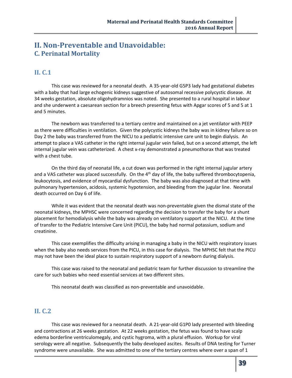## **II. Non-Preventable and Unavoidable: C. Perinatal Mortality**

## **II. C.1**

This case was reviewed for a neonatal death. A 35-year-old G5P3 lady had gestational diabetes with a baby that had large echogenic kidneys suggestive of autosomal recessive polycystic disease. At 34 weeks gestation, absolute oligohydramnios was noted. She presented to a rural hospital in labour and she underwent a caesarean section for a breech presenting fetus with Apgar scores of 5 and 5 at 1 and 5 minutes.

The newborn was transferred to a tertiary centre and maintained on a jet ventilator with PEEP as there were difficulties in ventilation. Given the polycystic kidneys the baby was in kidney failure so on Day 2 the baby was transferred from the NICU to a pediatric intensive care unit to begin dialysis. An attempt to place a VAS catheter in the right internal jugular vein failed, but on a second attempt, the left internal jugular vein was catheterized. A chest x-ray demonstrated a pneumothorax that was treated with a chest tube.

On the third day of neonatal life, a cut down was performed in the right internal jugular artery and a VAS catheter was placed successfully. On the 4<sup>th</sup> day of life, the baby suffered thrombocytopenia, leukocytosis, and evidence of myocardial dysfunction. The baby was also diagnosed at that time with pulmonary hypertension, acidosis, systemic hypotension, and bleeding from the jugular line. Neonatal death occurred on Day 6 of life.

While it was evident that the neonatal death was non-preventable given the dismal state of the neonatal kidneys, the MPHSC were concerned regarding the decision to transfer the baby for a shunt placement for hemodialysis while the baby was already on ventilatory support at the NICU. At the time of transfer to the Pediatric Intensive Care Unit (PICU), the baby had normal potassium, sodium and creatinine.

This case exemplifies the difficulty arising in managing a baby in the NICU with respiratory issues when the baby also needs services from the PICU, in this case for dialysis. The MPHSC felt that the PICU may not have been the ideal place to sustain respiratory support of a newborn during dialysis.

This case was raised to the neonatal and pediatric team for further discussion to streamline the care for such babies who need essential services at two different sites.

This neonatal death was classified as non-preventable and unavoidable.

## **II. C.2**

This case was reviewed for a neonatal death. A 21-year-old G1P0 lady presented with bleeding and contractions at 26 weeks gestation. At 22 weeks gestation, the fetus was found to have scalp edema borderline ventriculomegaly, and cystic hygroma, with a plural effusion. Workup for viral serology were all negative. Subsequently the baby developed ascites. Results of DNA testing for Turner syndrome were unavailable. She was admitted to one of the tertiary centres where over a span of 1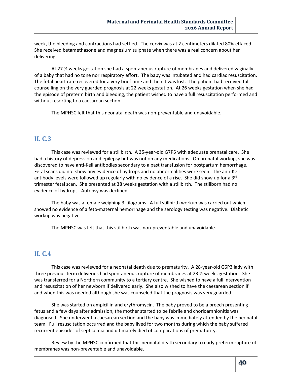week, the bleeding and contractions had settled. The cervix was at 2 centimeters dilated 80% effaced. She received betamethasone and magnesium sulphate when there was a real concern about her delivering.

At 27 ½ weeks gestation she had a spontaneous rupture of membranes and delivered vaginally of a baby that had no tone nor respiratory effort. The baby was intubated and had cardiac resuscitation. The fetal heart rate recovered for a very brief time and then it was lost. The patient had received full counselling on the very guarded prognosis at 22 weeks gestation. At 26 weeks gestation when she had the episode of preterm birth and bleeding, the patient wished to have a full resuscitation performed and without resorting to a caesarean section.

The MPHSC felt that this neonatal death was non-preventable and unavoidable.

## **II. C.3**

This case was reviewed for a stillbirth. A 35-year-old G7P5 with adequate prenatal care. She had a history of depression and epilepsy but was not on any medications. On prenatal workup, she was discovered to have anti-Kell antibodies secondary to a past transfusion for postpartum hemorrhage. Fetal scans did not show any evidence of hydrops and no abnormalities were seen. The anti-Kell antibody levels were followed up regularly with no evidence of a rise. She did show up for a 3<sup>rd</sup> trimester fetal scan. She presented at 38 weeks gestation with a stillbirth. The stillborn had no evidence of hydrops. Autopsy was declined.

The baby was a female weighing 3 kilograms. A full stillbirth workup was carried out which showed no evidence of a feto-maternal hemorrhage and the serology testing was negative. Diabetic workup was negative.

The MPHSC was felt that this stillbirth was non-preventable and unavoidable.

## **II. C.4**

This case was reviewed for a neonatal death due to prematurity. A 28-year-old G6P3 lady with three previous term deliveries had spontaneous rupture of membranes at 23  $\frac{1}{2}$  weeks gestation. She was transferred for a Northern community to a tertiary centre. She wished to have a full intervention and resuscitation of her newborn if delivered early. She also wished to have the caesarean section if and when this was needed although she was counseled that the prognosis was very guarded.

She was started on ampicillin and erythromycin. The baby proved to be a breech presenting fetus and a few days after admission, the mother started to be febrile and chorioamnionitis was diagnosed. She underwent a caesarean section and the baby was immediately attended by the neonatal team. Full resuscitation occurred and the baby lived for two months during which the baby suffered recurrent episodes of septicemia and ultimately died of complications of prematurity.

Review by the MPHSC confirmed that this neonatal death secondary to early preterm rupture of membranes was non-preventable and unavoidable.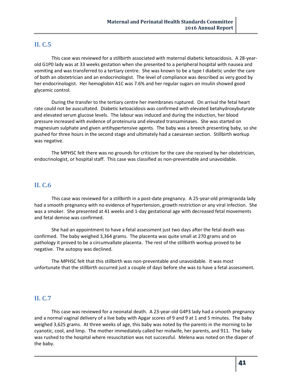## **II. C.5**

This case was reviewed for a stillbirth associated with maternal diabetic ketoacidosis. A 28-yearold G1P0 lady was at 33 weeks gestation when she presented to a peripheral hospital with nausea and vomiting and was transferred to a tertiary centre. She was known to be a type I diabetic under the care of both an obstetrician and an endocrinologist. The level of compliance was described as very good by her endocrinologist. Her hemoglobin A1C was 7.6% and her regular sugars on insulin showed good glycemic control.

During the transfer to the tertiary centre her membranes ruptured. On arrival the fetal heart rate could not be auscultated. Diabetic ketoacidosis was confirmed with elevated betahydroxybutyrate and elevated serum glucose levels. The labour was induced and during the induction, her blood pressure increased with evidence of proteinuria and elevated transaminases. She was started on magnesium sulphate and given antihypertensive agents. The baby was a breech presenting baby, so she pushed for three hours in the second stage and ultimately had a caesarean section. Stillbirth workup was negative.

The MPHSC felt there was no grounds for criticism for the care she received by her obstetrician, endocrinologist, or hospital staff. This case was classified as non-preventable and unavoidable.

## **II. C.6**

This case was reviewed for a stillbirth in a post-date pregnancy. A 25-year-old primigravida lady had a smooth pregnancy with no evidence of hypertension, growth restriction or any viral infection. She was a smoker. She presented at 41 weeks and 1-day gestational age with decreased fetal movements and fetal demise was confirmed.

She had an appointment to have a fetal assessment just two days after the fetal death was confirmed. The baby weighed 3,364 grams. The placenta was quite small at 270 grams and on pathology it proved to be a circumvallate placenta. The rest of the stillbirth workup proved to be negative. The autopsy was declined.

The MPHSC felt that this stillbirth was non-preventable and unavoidable. It was most unfortunate that the stillbirth occurred just a couple of days before she was to have a fetal assessment.

## **II. C.7**

This case was reviewed for a neonatal death. A 23-year-old G4P3 lady had a smooth pregnancy and a normal vaginal delivery of a live baby with Apgar scores of 9 and 9 at 1 and 5 minutes. The baby weighed 3,625 grams. At three weeks of age, this baby was noted by the parents in the morning to be cyanotic, cool, and limp. The mother immediately called her midwife, her parents, and 911. The baby was rushed to the hospital where resuscitation was not successful. Melena was noted on the diaper of the baby.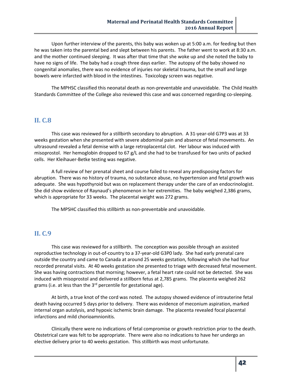Upon further interview of the parents, this baby was woken up at 5:00 a.m. for feeding but then he was taken into the parental bed and slept between his parents. The father went to work at 8:30 a.m. and the mother continued sleeping. It was after that time that she woke up and she noted the baby to have no signs of life. The baby had a cough three days earlier. The autopsy of the baby showed no congenital anomalies, there was no evidence of injuries nor skeletal trauma, but the small and large bowels were infarcted with blood in the intestines. Toxicology screen was negative.

The MPHSC classified this neonatal death as non-preventable and unavoidable. The Child Health Standards Committee of the College also reviewed this case and was concerned regarding co-sleeping.

## **II. C.8**

This case was reviewed for a stillbirth secondary to abruption. A 31-year-old G7P3 was at 33 weeks gestation when she presented with severe abdominal pain and absence of fetal movements. An ultrasound revealed a fetal demise with a large retroplacental clot. Her labour was induced with misoprostol. Her hemoglobin dropped to 67 g/L and she had to be transfused for two units of packed cells. Her Kleihauer-Betke testing was negative.

A full review of her prenatal sheet and course failed to reveal any predisposing factors for abruption. There was no history of trauma, no substance abuse, no hypertension and fetal growth was adequate. She was hypothyroid but was on replacement therapy under the care of an endocrinologist. She did show evidence of Raynaud's phenomenon in her extremities. The baby weighed 2,386 grams, which is appropriate for 33 weeks. The placental weight was 272 grams.

The MPSHC classified this stillbirth as non-preventable and unavoidable.

## **II. C.9**

This case was reviewed for a stillbirth. The conception was possible through an assisted reproductive technology in out-of-country to a 37-year-old G3P0 lady. She had early prenatal care outside the country and came to Canada at around 25 weeks gestation, following which she had four recorded prenatal visits. At 40 weeks gestation she presented to triage with decreased fetal movement. She was having contractions that morning; however, a fetal heart rate could not be detected. She was induced with misoprostol and delivered a stillborn fetus at 2,785 grams. The placenta weighed 262 grams (i.e. at less than the 3<sup>rd</sup> percentile for gestational age).

At birth, a true knot of the cord was noted. The autopsy showed evidence of intrauterine fetal death having occurred 5 days prior to delivery. There was evidence of meconium aspiration, marked internal organ autolysis, and hypoxic ischemic brain damage. The placenta revealed focal placental infarctions and mild chorioamnionitis.

Clinically there were no indications of fetal compromise or growth restriction prior to the death. Obstetrical care was felt to be appropriate. There were also no indications to have her undergo an elective delivery prior to 40 weeks gestation. This stillbirth was most unfortunate.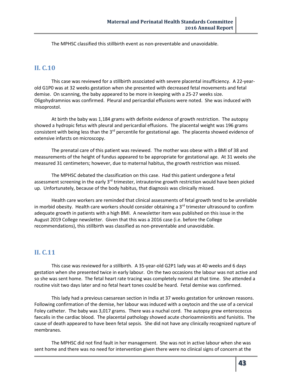The MPHSC classified this stillbirth event as non-preventable and unavoidable.

## **II. C.10**

This case was reviewed for a stillbirth associated with severe placental insufficiency. A 22-yearold G1P0 was at 32 weeks gestation when she presented with decreased fetal movements and fetal demise. On scanning, the baby appeared to be more in keeping with a 25-27 weeks size. Oligohydramnios was confirmed. Pleural and pericardial effusions were noted. She was induced with misoprostol.

At birth the baby was 1,184 grams with definite evidence of growth restriction. The autopsy showed a hydropic fetus with pleural and pericardial effusions. The placental weight was 196 grams consistent with being less than the 3<sup>rd</sup> percentile for gestational age. The placenta showed evidence of extensive infarcts on microscopy.

The prenatal care of this patient was reviewed. The mother was obese with a BMI of 38 and measurements of the height of fundus appeared to be appropriate for gestational age. At 31 weeks she measured 31 centimeters; however, due to maternal habitus, the growth restriction was missed.

The MPHSC debated the classification on this case. Had this patient undergone a fetal assessment screening in the early  $3<sup>rd</sup>$  trimester, intrauterine growth restriction would have been picked up. Unfortunately, because of the body habitus, that diagnosis was clinically missed.

Health care workers are reminded that clinical assessments of fetal growth tend to be unreliable in morbid obesity. Health care workers should consider obtaining a  $3<sup>rd</sup>$  trimester ultrasound to confirm adequate growth in patients with a high BMI. A newsletter item was published on this issue in the August 2019 College newsletter. Given that this was a 2016 case (i.e. before the College recommendations), this stillbirth was classified as non-preventable and unavoidable.

## **II. C.11**

This case was reviewed for a stillbirth. A 35-year-old G2P1 lady was at 40 weeks and 6 days gestation when she presented twice in early labour. On the two occasions the labour was not active and so she was sent home. The fetal heart rate tracing was completely normal at that time. She attended a routine visit two days later and no fetal heart tones could be heard. Fetal demise was confirmed.

This lady had a previous caesarean section in India at 37 weeks gestation for unknown reasons. Following confirmation of the demise, her labour was induced with a oxytocin and the use of a cervical Foley catheter. The baby was 3,017 grams. There was a nuchal cord. The autopsy grew enterococcus faecalis in the cardiac blood. The placental pathology showed acute chorioamnionitis and funisitis. The cause of death appeared to have been fetal sepsis. She did not have any clinically recognized rupture of membranes.

The MPHSC did not find fault in her management. She was not in active labour when she was sent home and there was no need for intervention given there were no clinical signs of concern at the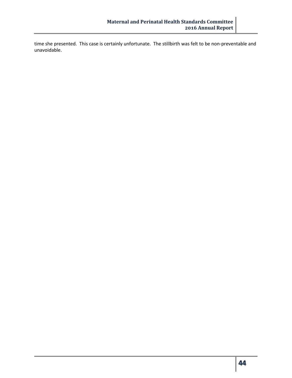time she presented. This case is certainly unfortunate. The stillbirth was felt to be non-preventable and unavoidable.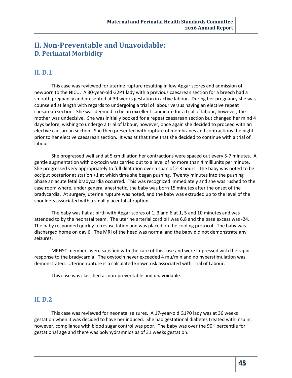## **II. Non-Preventable and Unavoidable: D. Perinatal Morbidity**

## **II. D.1**

This case was reviewed for uterine rupture resulting in low Apgar scores and admission of newborn to the NICU. A 30-year-old G2P1 lady with a previous caesarean section for a breech had a smooth pregnancy and presented at 39 weeks gestation in active labour. During her pregnancy she was counseled at length with regards to undergoing a trial of labour versus having an elective repeat caesarean section. She was deemed to be an excellent candidate for a trial of labour; however, the mother was undecisive. She was initially booked for a repeat caesarean section but changed her mind 4 days before, wishing to undergo a trial of labour; however, once again she decided to proceed with an elective caesarean section. She then presented with rupture of membranes and contractions the night prior to her elective caesarean section. It was at that time that she decided to continue with a trial of labour.

She progressed well and at 5 cm dilation her contractions were spaced out every 5-7 minutes. A gentle augmentation with oxytocin was carried out to a level of no more than 4 milliunits per minute. She progressed very appropriately to full dilatation over a span of 2-3 hours. The baby was noted to be occiput posterior at station +1 at which time she began pushing. Twenty minutes into the pushing phase an acute fetal bradycardia occurred. This was recognized immediately and she was rushed to the case room where, under general anesthetic, the baby was born 15 minutes after the onset of the bradycardia. At surgery, uterine rupture was noted, and the baby was extruded up to the level of the shoulders associated with a small placental abruption.

The baby was flat at birth with Apgar scores of 1, 3 and 6 at 1, 5 and 10 minutes and was attended to by the neonatal team. The uterine arterial cord pH was 6.8 and the base excess was -24. The baby responded quickly to resuscitation and was placed on the cooling protocol. The baby was discharged home on day 6. The MRI of the head was normal and the baby did not demonstrate any seizures.

MPHSC members were satisfied with the care of this case and were impressed with the rapid response to the bradycardia. The oxytocin never exceeded 4 mu/min and no hyperstimulation was demonstrated. Uterine rupture is a calculated known risk associated with Trial of Labour.

This case was classified as non-preventable and unavoidable.

## **II. D.2**

This case was reviewed for neonatal seizures. A 17-year-old G1P0 lady was at 36 weeks gestation when it was decided to have her induced. She had gestational diabetes treated with insulin; however, compliance with blood sugar control was poor. The baby was over the 90<sup>th</sup> percentile for gestational age and there was polyhydramnios as of 31 weeks gestation.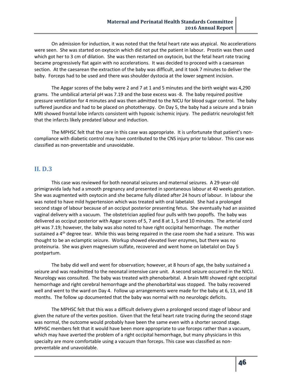On admission for induction, it was noted that the fetal heart rate was atypical. No accelerations were seen. She was started on oxytocin which did not put the patient in labour. Prostin was then used which got her to 3 cm of dilation. She was then restarted on oxytocin, but the fetal heart rate tracing became progressively flat again with no accelerations. It was decided to proceed with a caesarean section. At the caesarean the extraction of the baby was difficult, and it took 7 minutes to deliver the baby. Forceps had to be used and there was shoulder dystocia at the lower segment incision.

The Apgar scores of the baby were 2 and 7 at 1 and 5 minutes and the birth weight was 4,290 grams. The umbilical arterial pH was 7.19 and the base excess was -8. The baby required positive pressure ventilation for 4 minutes and was then admitted to the NICU for blood sugar control. The baby suffered jaundice and had to be placed on phototherapy. On Day 5, the baby had a seizure and a brain MRI showed frontal lobe infarcts consistent with hypoxic ischemic injury. The pediatric neurologist felt that the infarcts likely predated labour and induction.

The MPHSC felt that the care in this case was appropriate. It is unfortunate that patient's noncompliance with diabetic control may have contributed to the CNS injury prior to labour. This case was classified as non-preventable and unavoidable.

#### **II. D.3**

This case was reviewed for both neonatal seizures and maternal seizures. A 29-year-old primigravida lady had a smooth pregnancy and presented in spontaneous labour at 40 weeks gestation. She was augmented with oxytocin and she became fully dilated after 24 hours of labour. In labour she was noted to have mild hypertension which was treated with oral labetalol. She had a prolonged second stage of labour because of an occiput posterior presenting fetus. She eventually had an assisted vaginal delivery with a vacuum. The obstetrician applied four pulls with two popoffs. The baby was delivered as occiput posterior with Apgar scores of 5, 7 and 8 at 1, 5 and 10 minutes. The arterial cord pH was 7.19; however, the baby was also noted to have right occipital hemorrhage. The mother sustained a  $4<sup>th</sup>$  degree tear. While this was being repaired in the case room she had a seizure. This was thought to be an eclamptic seizure. Workup showed elevated liver enzymes, but there was no proteinuria. She was given magnesium sulfate, recovered and went home on labetalol on Day 5 postpartum.

The baby did well and went for observation; however, at 8 hours of age, the baby sustained a seizure and was readmitted to the neonatal intensive care unit. A second seizure occurred in the NICU. Neurology was consulted. The baby was treated with phenobarbital. A brain MRI showed right occipital hemorrhage and right cerebral hemorrhage and the phenobarbital was stopped. The baby recovered well and went to the ward on Day 4. Follow up arrangements were made for the baby at 6, 13, and 18 months. The follow up documented that the baby was normal with no neurologic deficits.

The MPHSC felt that this was a difficult delivery given a prolonged second stage of labour and given the nature of the vertex position. Given that the fetal heart rate tracing during the second stage was normal, the outcome would probably have been the same even with a shorter second stage. MPHSC members felt that it would have been more appropriate to use forceps rather than a vacuum, which may have averted the problem of a right occipital hemorrhage, but many physicians in this specialty are more comfortable using a vacuum than forceps. This case was classified as nonpreventable and unavoidable.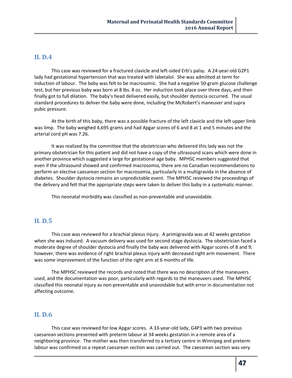## **II. D.4**

This case was reviewed for a fractured clavicle and left-sided Erb's palsy. A 24-year-old G2P1 lady had gestational hypertension that was treated with labetalol. She was admitted at term for induction of labour. The baby was felt to be macrosomic. She had a negative 50-gram glucose challenge test, but her previous baby was born at 8 lbs. 8 oz. Her induction took place over three days, and then finally got to full dilation. The baby's head delivered easily, but shoulder dystocia occurred. The usual standard procedures to deliver the baby were done, including the McRobert's maneuver and supra pubic pressure.

At the birth of this baby, there was a possible fracture of the left clavicle and the left upper limb was limp. The baby weighed 4,695 grams and had Apgar scores of 6 and 8 at 1 and 5 minutes and the arterial cord pH was 7.26.

It was realized by the committee that the obstetrician who delivered this lady was not the primary obstetrician for this patient and did not have a copy of the ultrasound scans which were done in another province which suggested a large for gestational age baby. MPHSC members suggested that even if the ultrasound showed and confirmed macrosomia, there are no Canadian recommendations to perform an elective caesarean section for macrosomia, particularly in a multigravida in the absence of diabetes. Shoulder dystocia remains an unpredictable event. The MPHSC reviewed the proceedings of the delivery and felt that the appropriate steps were taken to deliver this baby in a systematic manner.

This neonatal morbidity was classified as non-preventable and unavoidable.

## **II. D.5**

This case was reviewed for a brachial plexus injury. A primigravida was at 42 weeks gestation when she was induced. A vacuum delivery was used for second stage dystocia. The obstetrician faced a moderate degree of shoulder dystocia and finally the baby was delivered with Apgar scores of 8 and 9; however, there was evidence of right brachial plexus injury with decreased right arm movement. There was some improvement of the function of the right arm at 6 months of life.

The MPHSC reviewed the records and noted that there was no description of the maneuvers used, and the documentation was poor, particularly with regards to the maneuvers used. The MPHSC classified this neonatal injury as non-preventable and unavoidable but with error in documentation not affecting outcome.

## **II. D.6**

This case was reviewed for low Apgar scores. A 33-year-old lady, G4P3 with two previous caesarean sections presented with preterm labour at 34 weeks gestation in a remote area of a neighboring province. The mother was then transferred to a tertiary centre in Winnipeg and preterm labour was confirmed so a repeat caesarean section was carried out. The caesarean section was very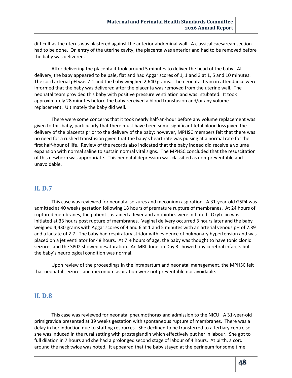difficult as the uterus was plastered against the anterior abdominal wall. A classical caesarean section had to be done. On entry of the uterine cavity, the placenta was anterior and had to be removed before the baby was delivered.

After delivering the placenta it took around 5 minutes to deliver the head of the baby. At delivery, the baby appeared to be pale, flat and had Apgar scores of 1, 1 and 3 at 1, 5 and 10 minutes. The cord arterial pH was 7.1 and the baby weighed 2,640 grams. The neonatal team in attendance were informed that the baby was delivered after the placenta was removed from the uterine wall. The neonatal team provided this baby with positive pressure ventilation and was intubated. It took approximately 28 minutes before the baby received a blood transfusion and/or any volume replacement. Ultimately the baby did well.

There were some concerns that it took nearly half-an-hour before any volume replacement was given to this baby, particularly that there must have been some significant fetal blood loss given the delivery of the placenta prior to the delivery of the baby; however, MPHSC members felt that there was no need for a rushed transfusion given that the baby's heart rate was pulsing at a normal rate for the first half-hour of life. Review of the records also indicated that the baby indeed did receive a volume expansion with normal saline to sustain normal vital signs. The MPHSC concluded that the resuscitation of this newborn was appropriate. This neonatal depression was classified as non-preventable and unavoidable.

### **II. D.7**

This case was reviewed for neonatal seizures and meconium aspiration. A 31-year-old G5P4 was admitted at 40 weeks gestation following 18 hours of premature rupture of membranes. At 24 hours of ruptured membranes, the patient sustained a fever and antibiotics were initiated. Oxytocin was initiated at 33 hours post rupture of membranes. Vaginal delivery occurred 3 hours later and the baby weighed 4,430 grams with Apgar scores of 4 and 6 at 1 and 5 minutes with an arterial venous pH of 7.39 and a lactate of 2.7. The baby had respiratory stridor with evidence of pulmonary hypertension and was placed on a jet ventilator for 48 hours. At 7 ½ hours of age, the baby was thought to have tonic clonic seizures and the SP02 showed desaturation. An MRI done on Day 3 showed tiny cerebral infarcts but the baby's neurological condition was normal.

Upon review of the proceedings in the intrapartum and neonatal management, the MPHSC felt that neonatal seizures and meconium aspiration were not preventable nor avoidable.

## **II. D.8**

This case was reviewed for neonatal pneumothorax and admission to the NICU. A 31-year-old primigravida presented at 39 weeks gestation with spontaneous rupture of membranes. There was a delay in her induction due to staffing resources. She declined to be transferred to a tertiary centre so she was induced in the rural setting with prostaglandin which effectively put her in labour. She got to full dilation in 7 hours and she had a prolonged second stage of labour of 4 hours. At birth, a cord around the neck twice was noted. It appeared that the baby stayed at the perineum for some time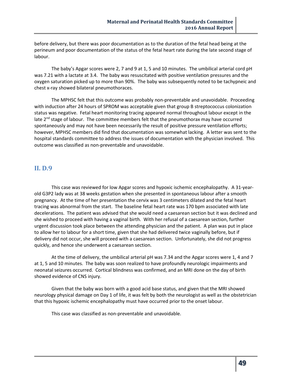before delivery, but there was poor documentation as to the duration of the fetal head being at the perineum and poor documentation of the status of the fetal heart rate during the late second stage of labour.

The baby's Apgar scores were 2, 7 and 9 at 1, 5 and 10 minutes. The umbilical arterial cord pH was 7.21 with a lactate at 3.4. The baby was resuscitated with positive ventilation pressures and the oxygen saturation picked up to more than 90%. The baby was subsequently noted to be tachypneic and chest x-ray showed bilateral pneumothoraces.

The MPHSC felt that this outcome was probably non-preventable and unavoidable. Proceeding with induction after 24 hours of SPROM was acceptable given that group B streptococcus colonization status was negative. Fetal heart monitoring tracing appeared normal throughout labour except in the late  $2<sup>nd</sup>$  stage of labour. The committee members felt that the pneumothorax may have occurred spontaneously and may not have been necessarily the result of positive pressure ventilation efforts; however, MPHSC members did find that documentation was somewhat lacking. A letter was sent to the hospital standards committee to address the issues of documentation with the physician involved. This outcome was classified as non-preventable and unavoidable.

### **II. D.9**

This case was reviewed for low Apgar scores and hypoxic ischemic encephalopathy. A 31-yearold G3P2 lady was at 38 weeks gestation when she presented in spontaneous labour after a smooth pregnancy. At the time of her presentation the cervix was 3 centimeters dilated and the fetal heart tracing was abnormal from the start. The baseline fetal heart rate was 170 bpm associated with late decelerations. The patient was advised that she would need a caesarean section but it was declined and she wished to proceed with having a vaginal birth. With her refusal of a caesarean section, further urgent discussion took place between the attending physician and the patient. A plan was put in place to allow her to labour for a short time, given that she had delivered twice vaginally before, but if delivery did not occur, she will proceed with a caesarean section. Unfortunately, she did not progress quickly, and hence she underwent a caesarean section.

At the time of delivery, the umbilical arterial pH was 7.34 and the Apgar scores were 1, 4 and 7 at 1, 5 and 10 minutes. The baby was soon realized to have profoundly neurologic impairments and neonatal seizures occurred. Cortical blindness was confirmed, and an MRI done on the day of birth showed evidence of CNS injury.

Given that the baby was born with a good acid base status, and given that the MRI showed neurology physical damage on Day 1 of life, it was felt by both the neurologist as well as the obstetrician that this hypoxic ischemic encephalopathy must have occurred prior to the onset labour.

This case was classified as non-preventable and unavoidable.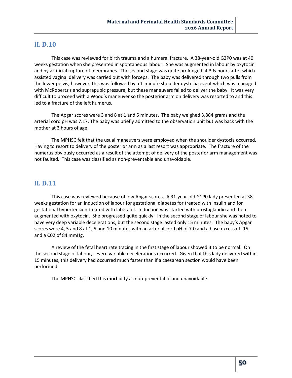### **II. D.10**

This case was reviewed for birth trauma and a humeral fracture. A 38-year-old G2P0 was at 40 weeks gestation when she presented in spontaneous labour. She was augmented in labour by oxytocin and by artificial rupture of membranes. The second stage was quite prolonged at 3  $\frac{1}{2}$  hours after which assisted vaginal delivery was carried out with forceps. The baby was delivered through two pulls from the lower pelvis; however, this was followed by a 1-minute shoulder dystocia event which was managed with McRoberts's and suprapubic pressure, but these maneuvers failed to deliver the baby. It was very difficult to proceed with a Wood's maneuver so the posterior arm on delivery was resorted to and this led to a fracture of the left humerus.

The Apgar scores were 3 and 8 at 1 and 5 minutes. The baby weighed 3,864 grams and the arterial cord pH was 7.17. The baby was briefly admitted to the observation unit but was back with the mother at 3 hours of age.

The MPHSC felt that the usual maneuvers were employed when the shoulder dystocia occurred. Having to resort to delivery of the posterior arm as a last resort was appropriate. The fracture of the humerus obviously occurred as a result of the attempt of delivery of the posterior arm management was not faulted. This case was classified as non-preventable and unavoidable.

## **II. D.11**

This case was reviewed because of low Apgar scores. A 31-year-old G1P0 lady presented at 38 weeks gestation for an induction of labour for gestational diabetes for treated with insulin and for gestational hypertension treated with labetalol. Induction was started with prostaglandin and then augmented with oxytocin. She progressed quite quickly. In the second stage of labour she was noted to have very deep variable decelerations, but the second stage lasted only 15 minutes. The baby's Apgar scores were 4, 5 and 8 at 1, 5 and 10 minutes with an arterial cord pH of 7.0 and a base excess of -15 and a C02 of 84 mmHg.

A review of the fetal heart rate tracing in the first stage of labour showed it to be normal. On the second stage of labour, severe variable decelerations occurred. Given that this lady delivered within 15 minutes, this delivery had occurred much faster than if a caesarean section would have been performed.

The MPHSC classified this morbidity as non-preventable and unavoidable.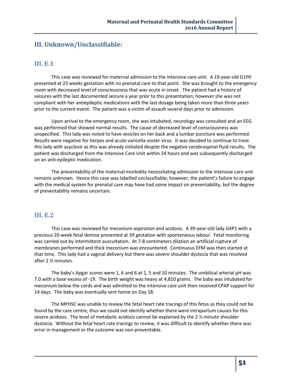## **III. Unknown/Unclassifiable:**

## **III. E.1**

This case was reviewed for maternal admission to the intensive care unit. A 19-year-old G1P0 presented at 23 weeks gestation with no prenatal care to that point. She was brought to the emergency room with decreased level of consciousness that was acute in onset. The patient had a history of seizures with the last documented seizure a year prior to this presentation; however she was not compliant with her antiepileptic medications with the last dosage being taken more than three years prior to the current event. The patient was a victim of assault several days prior to admission.

Upon arrival to the emergency room, she was intubated, neurology was consulted and an EEG was performed that showed normal results. The cause of decreased level of consciousness was unspecified. This lady was noted to have vesicles on her back and a lumbar puncture was performed. Results were negative for herpes and acute varicella-zoster virus. It was decided to continue to treat this lady with acyclovir as this was already initiated despite the negative cerebrospinal fluid results. The patient was discharged from the Intensive Care Unit within 24 hours and was subsequently discharged on an anti-epileptic medication.

The preventability of the maternal morbidity necessitating admission to the intensive care unit remains unknown. Hence this case was labelled unclassifiable; however, the patient's failure to engage with the medical system for prenatal care may have had some impact on preventability, but the degree of preventability remains uncertain.

## **III. E.2**

This case was reviewed for meconium aspiration and acidosis. A 39-year-old lady G4P1 with a previous 20-week fetal demise presented at 39 gestation with spontaneous labour. Fetal monitoring was carried out by intermittent auscultation. At 7-8 centimeters dilation an artificial rupture of membranes performed and thick meconium was encountered. Continuous EFM was then started at that time. This lady had a vaginal delivery but there was severe shoulder dystocia that was resolved after 2 ½ minutes.

The baby's Apgar scores were 1, 6 and 6 at 1, 5 and 10 minutes. The umbilical arterial pH was 7.0 with a base excess of -19. The birth weight was heavy at 4,810 grams. The baby was intubated for meconium below the cords and was admitted to the intensive care unit then received CPAP support for 14 days. The baby was eventually sent home on Day 18.

The MPHSC was unable to review the fetal heart rate tracings of this fetus as they could not be found by the care centre, thus we could not identify whether there were intrapartum causes for this severe acidosis. The level of metabolic acidosis cannot be explained by the 2 ½ minute shoulder dystocia. Without the fetal heart rate tracings to review, it was difficult to identify whether there was error in management or the outcome was non-preventable.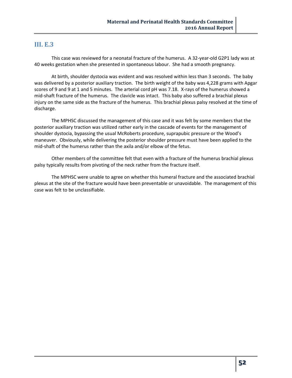### **III. E.3**

This case was reviewed for a neonatal fracture of the humerus. A 32-year-old G2P1 lady was at 40 weeks gestation when she presented in spontaneous labour. She had a smooth pregnancy.

At birth, shoulder dystocia was evident and was resolved within less than 3 seconds. The baby was delivered by a posterior auxiliary traction. The birth weight of the baby was 4,228 grams with Apgar scores of 9 and 9 at 1 and 5 minutes. The arterial cord pH was 7.18. X-rays of the humerus showed a mid-shaft fracture of the humerus. The clavicle was intact. This baby also suffered a brachial plexus injury on the same side as the fracture of the humerus. This brachial plexus palsy resolved at the time of discharge.

The MPHSC discussed the management of this case and it was felt by some members that the posterior auxiliary traction was utilized rather early in the cascade of events for the management of shoulder dystocia, bypassing the usual McRoberts procedure, suprapubic pressure or the Wood's maneuver. Obviously, while delivering the posterior shoulder pressure must have been applied to the mid-shaft of the humerus rather than the axila and/or elbow of the fetus.

Other members of the committee felt that even with a fracture of the humerus brachial plexus palsy typically results from pivoting of the neck rather from the fracture itself.

The MPHSC were unable to agree on whether this humeral fracture and the associated brachial plexus at the site of the fracture would have been preventable or unavoidable. The management of this case was felt to be unclassifiable.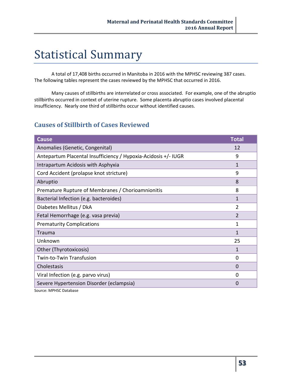## Statistical Summary

A total of 17,408 births occurred in Manitoba in 2016 with the MPHSC reviewing 387 cases. The following tables represent the cases reviewed by the MPHSC that occurred in 2016.

Many causes of stillbirths are interrelated or cross associated. For example, one of the abruptio stillbirths occurred in context of uterine rupture. Some placenta abruptio cases involved placental insufficiency. Nearly one third of stillbirths occur without identified causes.

## **Causes of Stillbirth of Cases Reviewed**

| <b>Cause</b>                                                   | <b>Total</b>   |
|----------------------------------------------------------------|----------------|
| Anomalies (Genetic, Congenital)                                | 12             |
| Antepartum Placental Insufficiency / Hypoxia-Acidosis +/- IUGR | 9              |
| Intrapartum Acidosis with Asphyxia                             | 1              |
| Cord Accident (prolapse knot stricture)                        | 9              |
| Abruptio                                                       | 8              |
| Premature Rupture of Membranes / Chorioamnionitis              | 8              |
| Bacterial Infection (e.g. bacteroides)                         | $\mathbf{1}$   |
| Diabetes Mellitus / DkA                                        | $\overline{2}$ |
| Fetal Hemorrhage (e.g. vasa previa)                            | $\overline{2}$ |
| <b>Prematurity Complications</b>                               | 1              |
| Trauma                                                         | 1              |
| Unknown                                                        | 25             |
| Other (Thyrotoxicosis)                                         | 1              |
| Twin-to-Twin Transfusion                                       | 0              |
| Cholestasis                                                    | $\Omega$       |
| Viral Infection (e.g. parvo virus)                             | 0              |
| Severe Hypertension Disorder (eclampsia)                       | $\Omega$       |

Source: MPHSC Database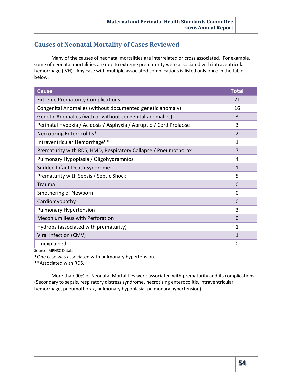## **Causes of Neonatal Mortality of Cases Reviewed**

Many of the causes of neonatal mortalities are interrelated or cross associated. For example, some of neonatal mortalities are due to extreme prematurity were associated with intraventricular hemorrhage (IVH). Any case with multiple associated complications is listed only once in the table below.

| <b>Cause</b>                                                       | <b>Total</b>   |
|--------------------------------------------------------------------|----------------|
| <b>Extreme Prematurity Complications</b>                           | 21             |
| Congenital Anomalies (without documented genetic anomaly)          | 16             |
| Genetic Anomalies (with or without congenital anomalies)           | 3              |
| Perinatal Hypoxia / Acidosis / Asphyxia / Abruptio / Cord Prolapse | 3              |
| Necrotizing Enterocolitis*                                         | $\overline{2}$ |
| Intraventricular Hemorrhage**                                      | $\mathbf{1}$   |
| Prematurity with RDS, HMD, Respiratory Collapse / Pneumothorax     | 7              |
| Pulmonary Hypoplasia / Oligohydramnios                             | 4              |
| Sudden Infant Death Syndrome                                       | $\mathbf{1}$   |
| Prematurity with Sepsis / Septic Shock                             | 5              |
| Trauma                                                             | $\Omega$       |
| Smothering of Newborn                                              | $\Omega$       |
| Cardiomyopathy                                                     | $\Omega$       |
| <b>Pulmonary Hypertension</b>                                      | 3              |
| Meconium Ileus with Perforation                                    | $\Omega$       |
| Hydrops (associated with prematurity)                              | 1              |
| Viral Infection (CMV)                                              | 1              |
| Unexplained                                                        | $\Omega$       |

Source: MPHSC Database

\*One case was associated with pulmonary hypertension.

\*\*Associated with RDS.

More than 90% of Neonatal Mortalities were associated with prematurity and its complications (Secondary to sepsis, respiratory distress syndrome, necrotizing enterocolitis, intraventricular hemorrhage, pneumothorax, pulmonary hypoplasia, pulmonary hypertension).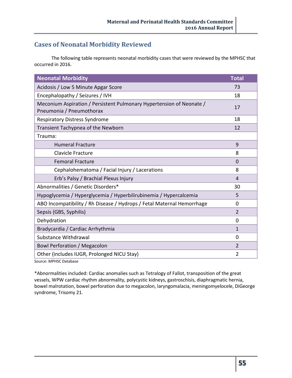## **Cases of Neonatal Morbidity Reviewed**

The following table represents neonatal morbidity cases that were reviewed by the MPHSC that occurred in 2016.

| <b>Neonatal Morbidity</b>                                                                        | <b>Total</b>   |
|--------------------------------------------------------------------------------------------------|----------------|
| Acidosis / Low 5 Minute Apgar Score                                                              | 73             |
| Encephalopathy / Seizures / IVH                                                                  | 18             |
| Meconium Aspiration / Persistent Pulmonary Hypertension of Neonate /<br>Pneumonia / Pneumothorax | 17             |
| <b>Respiratory Distress Syndrome</b>                                                             | 18             |
| Transient Tachypnea of the Newborn                                                               | 12             |
| Trauma:                                                                                          |                |
| <b>Humeral Fracture</b>                                                                          | 9              |
| Clavicle Fracture                                                                                | 8              |
| <b>Femoral Fracture</b>                                                                          | $\overline{0}$ |
| Cephalohematoma / Facial Injury / Lacerations                                                    | 8              |
| Erb's Palsy / Brachial Plexus Injury                                                             | 4              |
| Abnormalities / Genetic Disorders*                                                               | 30             |
| Hypoglycemia / Hyperglycemia / Hyperbilirubinemia / Hypercalcemia                                | 5              |
| ABO Incompatibility / Rh Disease / Hydrops / Fetal Maternal Hemorrhage                           | $\Omega$       |
| Sepsis (GBS, Syphilis)                                                                           | $\overline{2}$ |
| Dehydration                                                                                      | 0              |
| Bradycardia / Cardiac Arrhythmia                                                                 | $\mathbf{1}$   |
| Substance Withdrawal                                                                             | 0              |
| <b>Bowl Perforation / Megacolon</b>                                                              | $\overline{2}$ |
| Other (includes IUGR, Prolonged NICU Stay)                                                       | $\overline{2}$ |

Source: MPHSC Database

\*Abnormalities included: Cardiac anomalies such as Tetralogy of Fallot, transposition of the great vessels, WPW cardiac rhythm abnormality, polycystic kidneys, gastroschisis, diaphragmatic hernia, bowel malrotation, bowel perforation due to megacolon, laryngomalacia, meningomyelocele, DiGeorge syndrome, Trisomy 21.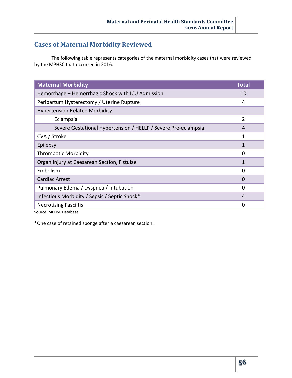## **Cases of Maternal Morbidity Reviewed**

The following table represents categories of the maternal morbidity cases that were reviewed by the MPHSC that occurred in 2016.

| <b>Maternal Morbidity</b>                                      | <b>Total</b>   |
|----------------------------------------------------------------|----------------|
| Hemorrhage - Hemorrhagic Shock with ICU Admission              | 10             |
| Peripartum Hysterectomy / Uterine Rupture                      | 4              |
| <b>Hypertension Related Morbidity</b>                          |                |
| Eclampsia                                                      | $\overline{2}$ |
| Severe Gestational Hypertension / HELLP / Severe Pre-eclampsia | 4              |
| CVA / Stroke                                                   | 1              |
| Epilepsy                                                       | $\mathbf{1}$   |
| <b>Thrombotic Morbidity</b>                                    | 0              |
| Organ Injury at Caesarean Section, Fistulae                    | 1              |
| Embolism                                                       | 0              |
| <b>Cardiac Arrest</b>                                          | 0              |
| Pulmonary Edema / Dyspnea / Intubation                         | 0              |
| Infectious Morbidity / Sepsis / Septic Shock*                  | 4              |
| <b>Necrotizing Fasciitis</b>                                   | 0              |
|                                                                |                |

Source: MPHSC Database

\*One case of retained sponge after a caesarean section.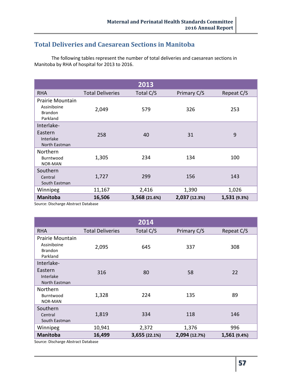## **Total Deliveries and Caesarean Sections in Manitoba**

The following tables represent the number of total deliveries and caesarean sections in Manitoba by RHA of hospital for 2013 to 2016.

|                                                               |                         | 2013          |               |              |
|---------------------------------------------------------------|-------------------------|---------------|---------------|--------------|
| <b>RHA</b>                                                    | <b>Total Deliveries</b> | Total C/S     | Primary C/S   | Repeat C/S   |
| Prairie Mountain<br>Assiniboine<br><b>Brandon</b><br>Parkland | 2,049                   | 579           | 326           | 253          |
| Interlake-                                                    |                         |               |               |              |
| Eastern<br>Interlake<br>North Eastman                         | 258                     | 40            | 31            | 9            |
| Northern<br>Burntwood<br><b>NOR-MAN</b>                       | 1,305                   | 234           | 134           | 100          |
| Southern<br>Central<br>South Eastman                          | 1,727                   | 299           | 156           | 143          |
| Winnipeg                                                      | 11,167                  | 2,416         | 1,390         | 1,026        |
| <b>Manitoba</b>                                               | 16,506                  | 3,568 (21.6%) | 2,037 (12.3%) | 1,531 (9.3%) |

Source: Discharge Abstract Database

|                                                               |                         | 2014          |               |              |
|---------------------------------------------------------------|-------------------------|---------------|---------------|--------------|
| <b>RHA</b>                                                    | <b>Total Deliveries</b> | Total C/S     | Primary C/S   | Repeat C/S   |
| Prairie Mountain<br>Assiniboine<br><b>Brandon</b><br>Parkland | 2,095                   | 645           | 337           | 308          |
| Interlake-                                                    |                         |               |               |              |
| Eastern<br>Interlake<br>North Eastman                         | 316                     | 80            | 58            | 22           |
| Northern<br>Burntwood<br><b>NOR-MAN</b>                       | 1,328                   | 224           | 135           | 89           |
| Southern<br>Central<br>South Eastman                          | 1,819                   | 334           | 118           | 146          |
| Winnipeg                                                      | 10,941                  | 2,372         | 1,376         | 996          |
| <b>Manitoba</b><br>Course, Bischopes Abetroat Botchese        | 16,499                  | 3,655 (22.1%) | 2,094 (12.7%) | 1,561 (9.4%) |

Source: Discharge Abstract Database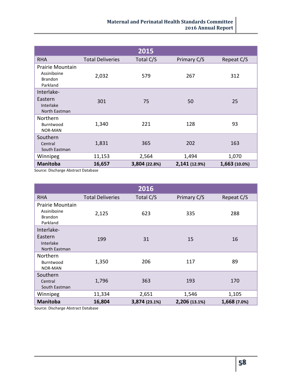|                                                               |                         | 2015          |               |               |
|---------------------------------------------------------------|-------------------------|---------------|---------------|---------------|
| <b>RHA</b>                                                    | <b>Total Deliveries</b> | Total C/S     | Primary C/S   | Repeat C/S    |
| Prairie Mountain<br>Assiniboine<br><b>Brandon</b><br>Parkland | 2,032                   | 579           | 267           | 312           |
| Interlake-                                                    |                         |               |               |               |
| Eastern<br>Interlake<br>North Eastman                         | 301                     | 75            | 50            | 25            |
| <b>Northern</b><br>Burntwood<br><b>NOR-MAN</b>                | 1,340                   | 221           | 128           | 93            |
| Southern<br>Central<br>South Eastman                          | 1,831                   | 365           | 202           | 163           |
| Winnipeg                                                      | 11,153                  | 2,564         | 1,494         | 1,070         |
| <b>Manitoba</b>                                               | 16,657                  | 3,804 (22.8%) | 2,141 (12.9%) | 1,663 (10.0%) |

Source: Discharge Abstract Database

|                                                               |                         | 2016          |               |              |
|---------------------------------------------------------------|-------------------------|---------------|---------------|--------------|
| <b>RHA</b>                                                    | <b>Total Deliveries</b> | Total C/S     | Primary C/S   | Repeat C/S   |
| Prairie Mountain<br>Assiniboine<br><b>Brandon</b><br>Parkland | 2,125                   | 623           | 335           | 288          |
| Interlake-                                                    |                         |               |               |              |
| Eastern<br>Interlake<br>North Eastman                         | 199                     | 31            | 15            | 16           |
| Northern<br>Burntwood<br><b>NOR-MAN</b>                       | 1,350                   | 206           | 117           | 89           |
| Southern<br>Central<br>South Eastman                          | 1,796                   | 363           | 193           | 170          |
| Winnipeg                                                      | 11,334                  | 2,651         | 1,546         | 1,105        |
| <b>Manitoba</b>                                               | 16,804                  | 3,874 (23.1%) | 2,206 (13.1%) | 1,668 (7.0%) |

Source: Discharge Abstract Database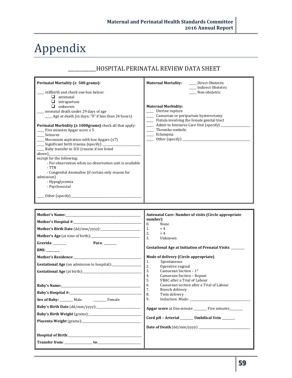# Appendix

## \_\_\_\_\_\_\_\_\_\_\_\_HOSPITAL PERINATAL REVIEW DATA SHEET

| Perinatal Mortality ( $\geq 500$ grams):                                       | <b>Maternal Mortality:</b><br>Direct Obstetric<br>Indirect Obstetric |
|--------------------------------------------------------------------------------|----------------------------------------------------------------------|
| stillbirth and check one box below:                                            | Non-obstetric                                                        |
| ⊔<br>antenatal                                                                 |                                                                      |
| intrapartum                                                                    |                                                                      |
| unknown<br>П                                                                   | <b>Maternal Morbidity:</b>                                           |
| neonatal death under 29 days of age                                            | Uterine rupture                                                      |
| Age at death (in days; "0" if less than 24 hours)                              | Caesarean or peripartum hysterectomy                                 |
|                                                                                | Fistula involving the female genital tract                           |
| <b>Perinatal Morbidity (<math>\geq 1000</math>grams)</b> check all that apply: | Admit to Intensive Care Unit (specify)                               |
| Five minutes Apgar score $\leq 5$                                              | Thrombo-embolic                                                      |
| Seizures                                                                       | Eclampsia                                                            |
| $\frac{1}{2}$ Meconium aspiration with low Apgars ( $\leq 7$ )                 |                                                                      |
| Significant birth trauma (specify) ________                                    |                                                                      |
| Baby transfer to ICU (reason if not listed                                     |                                                                      |
| above)                                                                         |                                                                      |
| except for the following:                                                      |                                                                      |
| - For observation when no observation unit is available                        |                                                                      |
| - TTN                                                                          |                                                                      |
| - Congenital Anomalies (if certain only reason for                             |                                                                      |
| admission)                                                                     |                                                                      |
| - Hypoglycemia                                                                 |                                                                      |
| - Psychosocial                                                                 |                                                                      |
| Other (specify)                                                                |                                                                      |

| Gravida:<br>Para: $\qquad \qquad$                                                                                                        | Antenatal Care: Number of visits (Circle appropriate<br>number)<br>$\Omega$ .<br>None<br>1.<br>< 4<br>2.<br>> 4<br>3.<br>Unknown<br>Gestational Age at Initiation of Prenatal Visits: ______                                                                                                                                                                                                                                |
|------------------------------------------------------------------------------------------------------------------------------------------|-----------------------------------------------------------------------------------------------------------------------------------------------------------------------------------------------------------------------------------------------------------------------------------------------------------------------------------------------------------------------------------------------------------------------------|
| BMI:<br>Mother's Residence: Mother's Residence:<br>Sex of Baby: ________ Male ______________ Female<br>Placenta Weight (grams): No. 2014 | Mode of delivery (Circle appropriate)<br>Spontaneous<br>1.<br>2.<br>Operative vaginal<br>3.<br>Caesarean Section $-1^\circ$<br>4.<br>Caesarean Section - Repeat<br>5.<br>VBAC after a Trial of Labour<br>6.<br>Caesarean section after a Trial of Labour<br>7.<br>Breech delivery<br>8.<br>Twin delivery<br>9.<br>Apgar score at One minute _________ Five minutes_______<br>Cord pH - Arterial ______ Umbilical Vein _____ |

ī.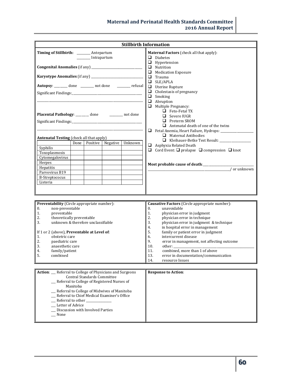| <b>Stillbirth Information</b>                                                                                                                                                                                                                                                                                                                                    |                                                                                                                                                                                                                                                                                                                                                                                                                                                                                                              |  |  |
|------------------------------------------------------------------------------------------------------------------------------------------------------------------------------------------------------------------------------------------------------------------------------------------------------------------------------------------------------------------|--------------------------------------------------------------------------------------------------------------------------------------------------------------------------------------------------------------------------------------------------------------------------------------------------------------------------------------------------------------------------------------------------------------------------------------------------------------------------------------------------------------|--|--|
| Timing of Stillbirth: _______ Antepartum<br>________ Intrapartum                                                                                                                                                                                                                                                                                                 | Maternal Factors (check all that apply):<br>$\Box$ Diabetes<br>$\Box$ Hypertension<br>$\Box$ Nutrition<br>$\Box$ Medication Exposure<br>$\Box$ Trauma<br>$\Box$ SLE/APLA                                                                                                                                                                                                                                                                                                                                     |  |  |
| Autopsy: _______ done _______ not done _______ refusal<br>Significant Findings:<br>Placental Pathology: _______ done ________ not done                                                                                                                                                                                                                           | $\Box$ Uterine Rupture<br>$\Box$ Cholestasis of pregnancy<br>$\Box$ Smoking<br>$\Box$ Abruption<br>$\Box$ Multiple Pregnancy:<br>$\Box$ Feto-Fetal TX<br>$\Box$ Severe IUGR<br>$\Box$ Preterm SROM<br>$\Box$ Antenatal death of one of the twins                                                                                                                                                                                                                                                             |  |  |
| Antenatal Testing (check all that apply)<br>Negative   Unknown<br>Done<br>Positive<br>Syphilis<br>Toxoplasmosis<br>Cytomegalovirus<br>Herpes<br>Hepatitis<br>Parvovirus B19<br><b>B-Streptococus</b><br>Listeria                                                                                                                                                 | Fetal Anemia, Heart Failure, Hydrops: ________________<br>$\Box$ Maternal Antibodies<br>Kleihauer-Betke Test Result: _________________<br>$\Box$ Asphyxia Related Death<br>$\Box$ Cord Event: $\Box$ prolapse $\Box$ compression $\Box$ knot<br>$\sqrt{\text{or unknown}}$                                                                                                                                                                                                                                   |  |  |
| Preventability (Circle appropriate number):<br>$\mathbf{0}$ .<br>non-preventable<br>1.<br>preventable<br>2.<br>theoretically preventable<br>unknown & therefore unclassifiable<br>3.<br>If 1 or 2 (above), Preventable at Level of:<br>1.<br>obstetric care<br>2.<br>paediatric care<br>3.<br>anaesthetic care<br>4.<br>family/patient<br>5.<br>combined         | Causative Factors (Circle appropriate number):<br>$\mathbf{0}$ .<br>unavoidable<br>1.<br>physician error in judgment<br>2.<br>physician error in technique<br>3.<br>physician error in judgment & technique<br>4.<br>in hospital error in management<br>5.<br>family or patient error in judgment<br>intercurrent disease<br>6.<br>9.<br>error in management, not affecting outcome<br>10.<br>combined, more than 1 of above<br>11.<br>13.<br>error in documentation/communication<br>14.<br>resource Issues |  |  |
| Action: __ Referral to College of Physicians and Surgeons<br><b>Central Standards Committee</b><br>Referral to College of Registered Nurses of<br>Manitoba<br>_ Referral to College of Midwives of Manitoba<br>_ Referral to Chief Medical Examiner's Office<br>Referral to other<br>_ Letter of Advice<br>_ Discussion with Involved Parties<br>$\sqrt{N}$ None | <b>Response to Action:</b>                                                                                                                                                                                                                                                                                                                                                                                                                                                                                   |  |  |